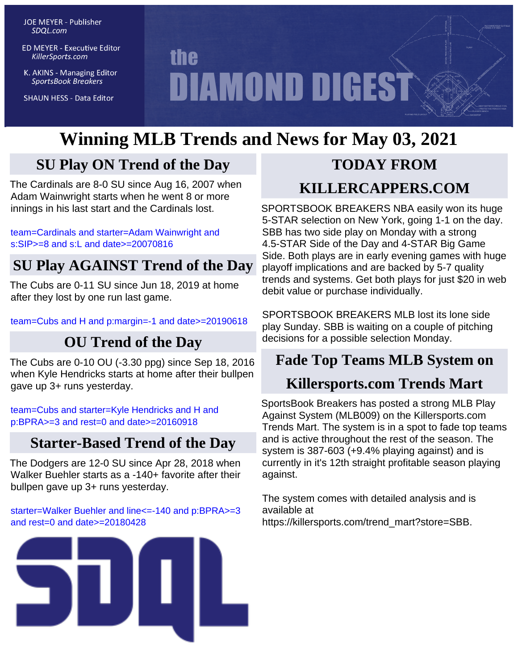**JOE MEYER - Publisher** SDQL.com

**ED MEYER - Executive Editor** KillerSports.com

K. AKINS - Managing Editor **SportsBook Breakers** 

**SHAUN HESS - Data Editor** 

# **the DIAMOND DIGEST**

# **Winning MLB Trends and News for May 03, 2021**

# **SU Play ON Trend of the Day**

The Cardinals are 8-0 SU since Aug 16, 2007 when Adam Wainwright starts when he went 8 or more innings in his last start and the Cardinals lost.

[team=Cardinals and starter=Adam Wainwright and](http://KillerSports.com/mlb/query?sdql=team%3DCardinals%20and%20starter%3DAdam%20Wainwright%20and%20s%3ASIP%3E%3D8%20and%20s%3AL%20and%20date%3E%3D20070816) [s:SIP>=8 and s:L and date>=20070816](http://KillerSports.com/mlb/query?sdql=team%3DCardinals%20and%20starter%3DAdam%20Wainwright%20and%20s%3ASIP%3E%3D8%20and%20s%3AL%20and%20date%3E%3D20070816)

# **SU Play AGAINST Trend of the Day**

The Cubs are 0-11 SU since Jun 18, 2019 at home after they lost by one run last game.

[team=Cubs and H and p:margin=-1 and date>=20190618](http://KillerSports.com/mlb/query?sdql=team%3DCubs%20and%20H%20and%20p%3Amargin%3D-1%20and%20date%3E%3D20190618)

# **OU Trend of the Day**

The Cubs are 0-10 OU (-3.30 ppg) since Sep 18, 2016 when Kyle Hendricks starts at home after their bullpen gave up 3+ runs yesterday.

[team=Cubs and starter=Kyle Hendricks and H and](http://KillerSports.com/mlb/query?sdql=team%3DCubs%20and%20starter%3DKyle%20Hendricks%20and%20H%20and%20p%3ABPRA%3E%3D3%20and%20rest%3D0%20and%20date%3E%3D20160918) [p:BPRA>=3 and rest=0 and date>=20160918](http://KillerSports.com/mlb/query?sdql=team%3DCubs%20and%20starter%3DKyle%20Hendricks%20and%20H%20and%20p%3ABPRA%3E%3D3%20and%20rest%3D0%20and%20date%3E%3D20160918)

# **Starter-Based Trend of the Day**

The Dodgers are 12-0 SU since Apr 28, 2018 when Walker Buehler starts as a -140+ favorite after their bullpen gave up 3+ runs yesterday.

#### [starter=Walker Buehler and line<=-140 and p:BPRA>=3](http://KillerSports.com/mlb/query?sdql=starter%3DWalker%20Buehler%20and%20line%3C%3D-140%20and%20p%3ABPRA%3E%3D3%20and%20rest%3D0%20and%20date%3E%3D20180428) [and rest=0 and date>=20180428](http://KillerSports.com/mlb/query?sdql=starter%3DWalker%20Buehler%20and%20line%3C%3D-140%20and%20p%3ABPRA%3E%3D3%20and%20rest%3D0%20and%20date%3E%3D20180428)



# **TODAY FROM**

# **KILLERCAPPERS.COM**

SPORTSBOOK BREAKERS NBA easily won its huge 5-STAR selection on New York, going 1-1 on the day. SBB has two side play on Monday with a strong 4.5-STAR Side of the Day and 4-STAR Big Game Side. Both plays are in early evening games with huge playoff implications and are backed by 5-7 quality trends and systems. Get both plays for just \$20 in web debit value or purchase individually.

SPORTSBOOK BREAKERS MLB lost its lone side play Sunday. SBB is waiting on a couple of pitching decisions for a possible selection Monday.

# **Fade Top Teams MLB System on**

# **Killersports.com Trends Mart**

SportsBook Breakers has posted a strong MLB Play Against System (MLB009) on the Killersports.com Trends Mart. The system is in a spot to fade top teams and is active throughout the rest of the season. The system is 387-603 (+9.4% playing against) and is currently in it's 12th straight profitable season playing against.

The system comes with detailed analysis and is available at https://killersports.com/trend\_mart?store=SBB.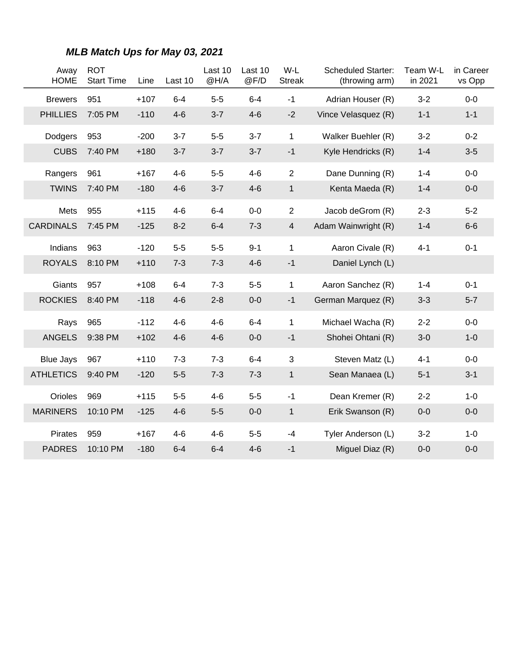| Away<br><b>HOME</b> | <b>ROT</b><br><b>Start Time</b> | Line   | Last 10 | Last 10<br>@H/A | Last 10<br>@F/D | W-L<br><b>Streak</b> | <b>Scheduled Starter:</b><br>(throwing arm) | Team W-L<br>in 2021 | in Career<br>vs Opp |
|---------------------|---------------------------------|--------|---------|-----------------|-----------------|----------------------|---------------------------------------------|---------------------|---------------------|
| <b>Brewers</b>      | 951                             | $+107$ | $6 - 4$ | $5-5$           | $6 - 4$         | $-1$                 | Adrian Houser (R)                           | $3 - 2$             | $0-0$               |
| <b>PHILLIES</b>     | 7:05 PM                         | $-110$ | $4-6$   | $3 - 7$         | $4 - 6$         | $-2$                 | Vince Velasquez (R)                         | $1 - 1$             | $1 - 1$             |
| Dodgers             | 953                             | $-200$ | $3 - 7$ | $5-5$           | $3 - 7$         | 1                    | Walker Buehler (R)                          | $3-2$               | $0 - 2$             |
| <b>CUBS</b>         | 7:40 PM                         | $+180$ | $3 - 7$ | $3 - 7$         | $3 - 7$         | $-1$                 | Kyle Hendricks (R)                          | $1 - 4$             | $3-5$               |
| Rangers             | 961                             | $+167$ | $4 - 6$ | $5-5$           | $4 - 6$         | $\overline{2}$       | Dane Dunning (R)                            | $1 - 4$             | $0-0$               |
| <b>TWINS</b>        | 7:40 PM                         | $-180$ | $4 - 6$ | $3 - 7$         | $4 - 6$         | $\mathbf{1}$         | Kenta Maeda (R)                             | $1 - 4$             | $0-0$               |
| Mets                | 955                             | $+115$ | $4 - 6$ | $6 - 4$         | $0-0$           | $\overline{2}$       | Jacob deGrom (R)                            | $2 - 3$             | $5-2$               |
| <b>CARDINALS</b>    | 7:45 PM                         | $-125$ | $8 - 2$ | $6 - 4$         | $7 - 3$         | $\overline{4}$       | Adam Wainwright (R)                         | $1 - 4$             | $6-6$               |
| Indians             | 963                             | $-120$ | $5-5$   | $5-5$           | $9 - 1$         | $\mathbf 1$          | Aaron Civale (R)                            | $4 - 1$             | $0 - 1$             |
| <b>ROYALS</b>       | 8:10 PM                         | $+110$ | $7 - 3$ | $7 - 3$         | $4 - 6$         | $-1$                 | Daniel Lynch (L)                            |                     |                     |
| Giants              | 957                             | $+108$ | $6-4$   | $7 - 3$         | $5-5$           | $\mathbf{1}$         | Aaron Sanchez (R)                           | $1 - 4$             | $0 - 1$             |
| <b>ROCKIES</b>      | 8:40 PM                         | $-118$ | $4 - 6$ | $2 - 8$         | $0-0$           | $-1$                 | German Marquez (R)                          | $3 - 3$             | $5 - 7$             |
| Rays                | 965                             | $-112$ | $4 - 6$ | $4 - 6$         | $6 - 4$         | 1                    | Michael Wacha (R)                           | $2 - 2$             | $0-0$               |
| <b>ANGELS</b>       | 9:38 PM                         | $+102$ | $4 - 6$ | $4 - 6$         | $0-0$           | $-1$                 | Shohei Ohtani (R)                           | $3-0$               | $1 - 0$             |
| <b>Blue Jays</b>    | 967                             | $+110$ | $7 - 3$ | $7 - 3$         | $6 - 4$         | 3                    | Steven Matz (L)                             | $4 - 1$             | $0-0$               |
| <b>ATHLETICS</b>    | 9:40 PM                         | $-120$ | $5-5$   | $7 - 3$         | $7 - 3$         | $\mathbf{1}$         | Sean Manaea (L)                             | $5 - 1$             | $3-1$               |
| Orioles             | 969                             | $+115$ | $5-5$   | $4 - 6$         | $5-5$           | $-1$                 | Dean Kremer (R)                             | $2 - 2$             | $1-0$               |
| <b>MARINERS</b>     | 10:10 PM                        | $-125$ | $4 - 6$ | $5-5$           | $0-0$           | $\mathbf{1}$         | Erik Swanson (R)                            | $0-0$               | $0-0$               |
| Pirates             | 959                             | $+167$ | $4 - 6$ | $4 - 6$         | $5-5$           | $-4$                 | Tyler Anderson (L)                          | $3 - 2$             | $1-0$               |
| <b>PADRES</b>       | 10:10 PM                        | $-180$ | $6 - 4$ | $6 - 4$         | $4 - 6$         | $-1$                 | Miguel Diaz (R)                             | $0-0$               | $0-0$               |

#### **MLB Match Ups for May 03, 2021**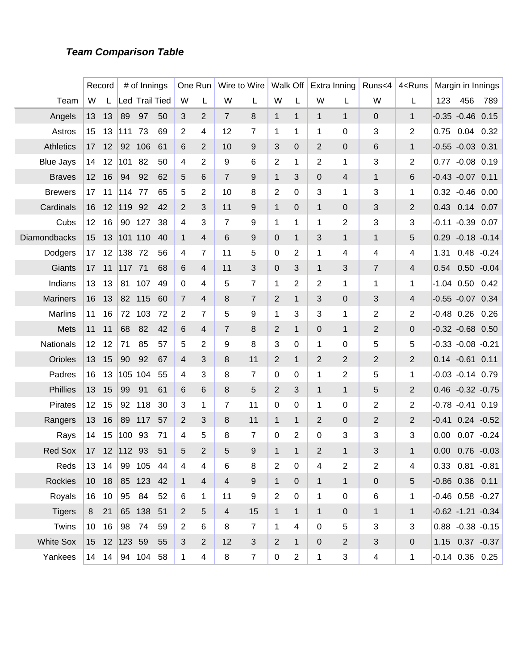#### **Team Comparison Table**

|                  |                 | Record |              | # of Innings          |    |                | One Run        |                | Wire to Wire   |                | Walk Off       |                | Extra Inning   | Runs<4                  | 4 <runs< th=""><th></th><th>Margin in Innings</th><th></th></runs<> |      | Margin in Innings      |      |
|------------------|-----------------|--------|--------------|-----------------------|----|----------------|----------------|----------------|----------------|----------------|----------------|----------------|----------------|-------------------------|---------------------------------------------------------------------|------|------------------------|------|
| Team             | W               |        |              | <b>Led Trail Tied</b> |    | W              | L              | W              | L              | W              | L              | W              | L              | W                       | L                                                                   | 123  | 456                    | 789  |
| Angels           | 13              | 13     | 89           | 97                    | 50 | 3              | 2              | $\overline{7}$ | 8              | $\mathbf{1}$   | $\mathbf{1}$   | $\mathbf{1}$   | $\mathbf{1}$   | $\mathbf 0$             | $\mathbf{1}$                                                        |      | $-0.35 -0.46$ 0.15     |      |
| Astros           | 15              | 13     | 111          | 73                    | 69 | 2              | 4              | 12             | $\overline{7}$ | 1              | 1              | 1              | 0              | 3                       | $\overline{2}$                                                      | 0.75 | $0.04$ 0.32            |      |
| <b>Athletics</b> | 17              | 12     | 92           | 106                   | 61 | 6              | 2              | 10             | 9              | 3              | 0              | 2              | 0              | 6                       | $\mathbf{1}$                                                        |      | $-0.55 - 0.03$ 0.31    |      |
| <b>Blue Jays</b> | 14              | 12     | 101          | 82                    | 50 | 4              | 2              | 9              | 6              | $\overline{2}$ | 1              | 2              | 1              | 3                       | 2                                                                   |      | 0.77 -0.08 0.19        |      |
| <b>Braves</b>    | 12              | 16     | 94           | 92                    | 62 | 5              | 6              | $\overline{7}$ | 9              | $\mathbf{1}$   | 3              | 0              | 4              | $\mathbf{1}$            | 6                                                                   |      | $-0.43 - 0.07$ 0.11    |      |
| <b>Brewers</b>   | 17              | 11     | 114          | 77                    | 65 | 5              | 2              | 10             | 8              | $\overline{2}$ | 0              | 3              | 1              | 3                       | 1                                                                   |      | $0.32 -0.46 0.00$      |      |
| Cardinals        | 16              | 12     | 119          | 92                    | 42 | 2              | 3              | 11             | 9              | $\mathbf{1}$   | $\overline{0}$ | $\mathbf{1}$   | $\mathbf{0}$   | 3                       | 2                                                                   |      | 0.43 0.14 0.07         |      |
| Cubs             | 12              | 16     | 90           | 127                   | 38 | 4              | 3              | $\overline{7}$ | 9              | 1              | 1              | 1              | 2              | 3                       | 3                                                                   |      | $-0.11 - 0.39$ 0.07    |      |
| Diamondbacks     | 15              | 13     |              | 101 110               | 40 | 1              | 4              | 6              | 9              | 0              | $\mathbf{1}$   | 3              | $\mathbf{1}$   | $\mathbf{1}$            | 5                                                                   | 0.29 | $-0.18 - 0.14$         |      |
| Dodgers          | 17              | 12     | 138          | 72                    | 56 | 4              | 7              | 11             | 5              | 0              | 2              | 1              | 4              | 4                       | 4                                                                   | 1.31 | $0.48 - 0.24$          |      |
| Giants           | 17              | 11     | 117          | 71                    | 68 | 6              | 4              | 11             | 3              | 0              | 3              | $\mathbf{1}$   | 3              | $\overline{7}$          | 4                                                                   | 0.54 | $0.50 - 0.04$          |      |
| Indians          | 13              | 13     | 81           | 107                   | 49 | 0              | 4              | 5              | $\overline{7}$ | 1              | 2              | 2              | 1              | 1                       | 1                                                                   |      | $-1.04$ 0.50 0.42      |      |
| <b>Mariners</b>  | 16              | 13     | 82           | 115                   | 60 | $\overline{7}$ | 4              | 8              | 7              | $\overline{2}$ | $\mathbf{1}$   | 3              | $\overline{0}$ | 3                       | 4                                                                   |      | $-0.55 - 0.07$ 0.34    |      |
| <b>Marlins</b>   | 11              | 16     | 72           | 103                   | 72 | $\overline{2}$ | 7              | 5              | 9              | 1              | 3              | 3              | 1              | 2                       | 2                                                                   |      | $-0.48$ 0.26 0.26      |      |
| Mets             | 11              | 11     | 68           | 82                    | 42 | 6              | 4              | $\overline{7}$ | 8              | $\overline{2}$ | $\mathbf{1}$   | 0              | $\mathbf{1}$   | $\overline{2}$          | 0                                                                   |      | $-0.32 -0.68$ 0.50     |      |
| Nationals        | 12              | 12     | 71           | 85                    | 57 | 5              | 2              | 9              | 8              | 3              | 0              | 1              | 0              | 5                       | 5                                                                   |      | $-0.33 - 0.08 - 0.21$  |      |
| Orioles          | 13              | 15     | 90           | 92                    | 67 | 4              | 3              | 8              | 11             | $\overline{2}$ | $\mathbf{1}$   | 2              | 2              | $\overline{2}$          | $\overline{2}$                                                      |      | $0.14 - 0.61$          | 0.11 |
| Padres           | 16              | 13     |              | 105 104               | 55 | 4              | 3              | 8              | $\overline{7}$ | 0              | 0              | 1              | 2              | 5                       | 1                                                                   |      | $-0.03 -0.14$ 0.79     |      |
| Phillies         | 13              | 15     | 99           | 91                    | 61 | 6              | 6              | 8              | 5              | $\overline{2}$ | 3              | $\mathbf{1}$   | $\mathbf{1}$   | 5                       | $\overline{2}$                                                      |      | $0.46 - 0.32 - 0.75$   |      |
| <b>Pirates</b>   | 12              | 15     | 92           | 118                   | 30 | 3              | 1              | 7              | 11             | $\mathbf 0$    | 0              | 1              | 0              | 2                       | 2                                                                   |      | $-0.78 - 0.41 0.19$    |      |
| Rangers          | 13              | 16     | 89           | 117                   | 57 | 2              | 3              | 8              | 11             | $\mathbf{1}$   | $\mathbf{1}$   | 2              | 0              | $\overline{2}$          | $\overline{2}$                                                      |      | $-0.41$ $0.24$ $-0.52$ |      |
| Rays             | 14              | 15     | 100          | 93                    | 71 | 4              | 5              | 8              | $\overline{7}$ | 0              | 2              | 0              | 3              | 3                       | 3                                                                   | 0.00 | $0.07 - 0.24$          |      |
| <b>Red Sox</b>   | 17              | 12     | 112          | 93                    | 51 | 5              | $\overline{2}$ | 5              | 9              | $\mathbf 1$    | 1              | $\overline{2}$ | $\mathbf{1}$   | 3                       | $\mathbf{1}$                                                        | 0.00 | $0.76 - 0.03$          |      |
| Reds             |                 | 13 14  |              | 99 105 44             |    | 4              | 4              | 6              | 8              | $\overline{2}$ | $\mathbf 0$    | 4              | 2              | $\overline{\mathbf{c}}$ | 4                                                                   |      | $0.33$ $0.81$ $-0.81$  |      |
| <b>Rockies</b>   |                 | 10 18  |              | 85 123                | 42 | $\mathbf{1}$   | 4              | $\overline{4}$ | $9\,$          | $\mathbf{1}$   | $\mathbf 0$    | 1              | $\mathbf{1}$   | $\pmb{0}$               | 5                                                                   |      | $-0.86$ 0.36 0.11      |      |
| Royals           |                 | 16 10  | 95           | 84                    | 52 | 6              | 1              | 11             | 9              | $\overline{2}$ | $\mathbf 0$    | $\mathbf 1$    | $\mathbf 0$    | 6                       | 1                                                                   |      | $-0.46$ $0.58$ $-0.27$ |      |
| <b>Tigers</b>    |                 | 8 21   |              | 65 138 51             |    | $\overline{2}$ | 5              | $\overline{4}$ | 15             | $\mathbf{1}$   | $\mathbf{1}$   | $\mathbf{1}$   | $\mathbf{0}$   | $\mathbf{1}$            | $\mathbf{1}$                                                        |      | $-0.62 -1.21 -0.34$    |      |
| Twins            | 10 <sub>1</sub> | 16     | 98           | 74                    | 59 | $\overline{2}$ | 6              | 8              | $\overline{7}$ | $\mathbf{1}$   | 4              | $\mathbf 0$    | 5              | 3                       | 3                                                                   |      | $0.88 - 0.38 - 0.15$   |      |
| <b>White Sox</b> |                 |        | 15 12 123 59 |                       | 55 | 3              | 2              | 12             | 3              | $\overline{2}$ | $\mathbf{1}$   | $\overline{0}$ | $\overline{2}$ | 3                       | $\mathbf 0$                                                         |      | 1.15 0.37 -0.37        |      |
| Yankees          |                 | 14 14  |              | 94 104 58             |    | 1              | 4              | 8              | $\overline{7}$ | $\pmb{0}$      | $\overline{2}$ | $\mathbf 1$    | 3              | $\overline{\mathbf{4}}$ | 1                                                                   |      | $-0.14$ $0.36$ $0.25$  |      |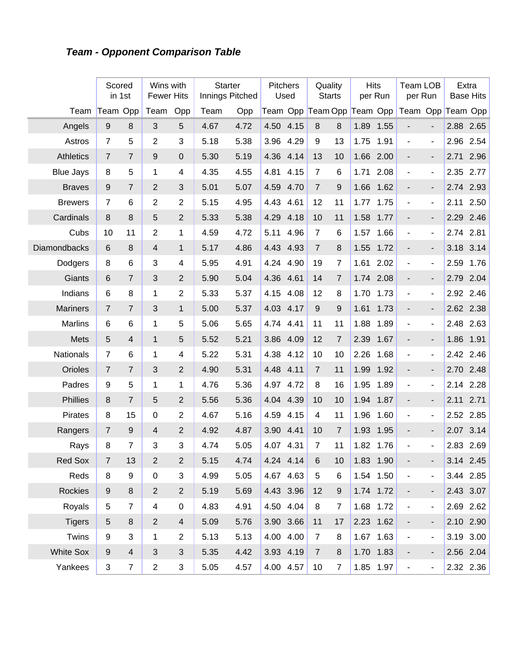# **Team - Opponent Comparison Table**

|                  |                  | Scored<br>in 1st | Wins with<br><b>Fewer Hits</b> |                | <b>Starter</b><br>Innings Pitched |      | Pitchers  | Used      | Quality                    | <b>Starts</b>    |      | <b>Hits</b><br>per Run | Team LOB<br>per Run      |                          |      | Extra<br><b>Base Hits</b> |
|------------------|------------------|------------------|--------------------------------|----------------|-----------------------------------|------|-----------|-----------|----------------------------|------------------|------|------------------------|--------------------------|--------------------------|------|---------------------------|
| Team             |                  | Team Opp         | Team                           | Opp            | Team                              | Opp  |           |           | Team Opp Team Opp Team Opp |                  |      |                        | Team Opp Team Opp        |                          |      |                           |
| Angels           | 9                | 8                | 3                              | 5              | 4.67                              | 4.72 | 4.50      | 4.15      | 8                          | 8                | 1.89 | 1.55                   |                          |                          |      | 2.88 2.65                 |
| Astros           | $\overline{7}$   | 5                | $\overline{2}$                 | $\mathbf{3}$   | 5.18                              | 5.38 | 3.96      | 4.29      | 9                          | 13               | 1.75 | 1.91                   | ÷,                       | $\blacksquare$           | 2.96 | 2.54                      |
| <b>Athletics</b> | $\overline{7}$   | $\overline{7}$   | 9                              | $\mathbf 0$    | 5.30                              | 5.19 | 4.36      | 4.14      | 13                         | 10               | 1.66 | 2.00                   |                          | $\overline{\phantom{0}}$ | 2.71 | 2.96                      |
| <b>Blue Jays</b> | 8                | 5                | 1                              | 4              | 4.35                              | 4.55 | 4.81      | 4.15      | $\overline{7}$             | 6                | 1.71 | 2.08                   | $\blacksquare$           | $\overline{\phantom{a}}$ | 2.35 | 2.77                      |
| <b>Braves</b>    | 9                | $\overline{7}$   | $\overline{2}$                 | 3              | 5.01                              | 5.07 | 4.59      | 4.70      | $\overline{7}$             | 9                | 1.66 | 1.62                   | $\overline{\phantom{a}}$ | $\overline{\phantom{0}}$ | 2.74 | 2.93                      |
| <b>Brewers</b>   | $\overline{7}$   | 6                | 2                              | $\overline{2}$ | 5.15                              | 4.95 | 4.43      | 4.61      | 12                         | 11               | 1.77 | 1.75                   | $\blacksquare$           | $\blacksquare$           | 2.11 | 2.50                      |
| Cardinals        | 8                | 8                | 5                              | 2              | 5.33                              | 5.38 | 4.29      | 4.18      | 10                         | 11               | 1.58 | 1.77                   | $\overline{\phantom{m}}$ | $\overline{\phantom{0}}$ | 2.29 | 2.46                      |
| Cubs             | 10               | 11               | $\overline{2}$                 | 1              | 4.59                              | 4.72 | 5.11      | 4.96      | $\overline{7}$             | 6                | 1.57 | 1.66                   | $\blacksquare$           | $\blacksquare$           | 2.74 | 2.81                      |
| Diamondbacks     | 6                | 8                | 4                              | $\mathbf{1}$   | 5.17                              | 4.86 | 4.43      | 4.93      | $\overline{7}$             | 8                | 1.55 | 1.72                   | $\overline{\phantom{a}}$ | $\overline{\phantom{0}}$ | 3.18 | 3.14                      |
| Dodgers          | 8                | 6                | 3                              | 4              | 5.95                              | 4.91 | 4.24      | 4.90      | 19                         | 7                | 1.61 | 2.02                   | $\blacksquare$           | $\overline{\phantom{a}}$ | 2.59 | 1.76                      |
| Giants           | 6                | $\overline{7}$   | 3                              | 2              | 5.90                              | 5.04 | 4.36      | 4.61      | 14                         | $\overline{7}$   | 1.74 | 2.08                   | $\overline{\phantom{a}}$ | $\overline{\phantom{0}}$ | 2.79 | 2.04                      |
| Indians          | 6                | 8                | $\mathbf{1}$                   | $\overline{2}$ | 5.33                              | 5.37 | 4.15      | 4.08      | 12                         | 8                | 1.70 | 1.73                   | $\blacksquare$           | $\overline{\phantom{a}}$ | 2.92 | 2.46                      |
| <b>Mariners</b>  | $\overline{7}$   | $\overline{7}$   | 3                              | $\mathbf{1}$   | 5.00                              | 5.37 | 4.03      | 4.17      | 9                          | 9                | 1.61 | 1.73                   | $\overline{\phantom{a}}$ | $\overline{\phantom{0}}$ |      | 2.62 2.38                 |
| <b>Marlins</b>   | 6                | 6                | 1                              | 5              | 5.06                              | 5.65 | 4.74      | 4.41      | 11                         | 11               | 1.88 | 1.89                   | $\blacksquare$           | $\blacksquare$           | 2.48 | 2.63                      |
| Mets             | 5                | $\overline{4}$   | $\mathbf{1}$                   | 5              | 5.52                              | 5.21 | 3.86      | 4.09      | 12                         | $\overline{7}$   | 2.39 | 1.67                   | $\overline{\phantom{m}}$ | $\overline{\phantom{0}}$ | 1.86 | 1.91                      |
| Nationals        | $\overline{7}$   | 6                | 1                              | 4              | 5.22                              | 5.31 | 4.38      | 4.12      | 10                         | 10               | 2.26 | 1.68                   | ٠                        | $\overline{\phantom{a}}$ | 2.42 | 2.46                      |
| Orioles          | $\overline{7}$   | $\overline{7}$   | $\mathbf{3}$                   | $\overline{2}$ | 4.90                              | 5.31 | 4.48      | 4.11      | $\overline{7}$             | 11               | 1.99 | 1.92                   | $\overline{\phantom{a}}$ | $\overline{\phantom{0}}$ | 2.70 | 2.48                      |
| Padres           | 9                | 5                | $\mathbf{1}$                   | 1              | 4.76                              | 5.36 | 4.97      | 4.72      | 8                          | 16               | 1.95 | 1.89                   | ÷,                       | $\blacksquare$           | 2.14 | 2.28                      |
| Phillies         | 8                | $\overline{7}$   | 5                              | 2              | 5.56                              | 5.36 | 4.04      | 4.39      | 10                         | 10               | 1.94 | 1.87                   | $\overline{\phantom{a}}$ | $\overline{\phantom{0}}$ | 2.11 | 2.71                      |
| <b>Pirates</b>   | 8                | 15               | $\mathbf 0$                    | $\overline{2}$ | 4.67                              | 5.16 | 4.59      | 4.15      | 4                          | 11               | 1.96 | 1.60                   | ÷,                       | $\blacksquare$           | 2.52 | 2.85                      |
| Rangers          | 7                | 9                | 4                              | $\overline{2}$ | 4.92                              | 4.87 | 3.90      | 4.41      | 10                         | $\overline{7}$   | 1.93 | 1.95                   | $\overline{\phantom{m}}$ | ٠                        | 2.07 | 3.14                      |
| Rays             | 8                | $\overline{7}$   | 3                              | 3              | 4.74                              | 5.05 | 4.07      | 4.31      | $\overline{7}$             | 11               | 1.82 | 1.76                   | ÷                        | ÷,                       |      | 2.83 2.69                 |
| Red Sox          | 7                | 13               | $\overline{c}$                 | $\mathbf{2}$   | 5.15                              | 4.74 | 4.24 4.14 |           | 6                          | 10               |      | 1.83 1.90              |                          |                          |      | 3.14 2.45                 |
| Reds             | 8                | 9                | $\pmb{0}$                      | 3              | 4.99                              | 5.05 | 4.67      | 4.63      | 5                          | 6                |      | 1.54 1.50              | $\overline{\phantom{a}}$ | $\blacksquare$           |      | 3.44 2.85                 |
| Rockies          | $\boldsymbol{9}$ | $\bf 8$          | $\overline{2}$                 | $\overline{2}$ | 5.19                              | 5.69 |           | 4.43 3.96 | 12                         | $\boldsymbol{9}$ |      | 1.74 1.72              | -                        |                          |      | 2.43 3.07                 |
| Royals           | 5                | $\overline{7}$   | 4                              | 0              | 4.83                              | 4.91 |           | 4.50 4.04 | 8                          | $\overline{7}$   |      | 1.68 1.72              | $\overline{\phantom{a}}$ | $\blacksquare$           |      | 2.69 2.62                 |
| <b>Tigers</b>    | $\sqrt{5}$       | $\bf 8$          | $\overline{2}$                 | $\overline{4}$ | 5.09                              | 5.76 |           | 3.90 3.66 | 11                         | 17               |      | 2.23 1.62              | -                        | -                        |      | 2.10 2.90                 |
| Twins            | 9                | 3                | 1                              | $\overline{2}$ | 5.13                              | 5.13 |           | 4.00 4.00 | $\overline{7}$             | 8                |      | 1.67 1.63              | $\overline{\phantom{a}}$ | $\blacksquare$           |      | 3.19 3.00                 |
| <b>White Sox</b> | 9                | $\overline{4}$   | $\mathfrak{S}$                 | 3              | 5.35                              | 4.42 |           | 3.93 4.19 | $\overline{7}$             | $\,8\,$          |      | 1.70 1.83              | -                        | ٠                        |      | 2.56 2.04                 |
| Yankees          | $\sqrt{3}$       | $\overline{7}$   | $\overline{c}$                 | 3              | 5.05                              | 4.57 |           | 4.00 4.57 | 10                         | $\overline{7}$   |      | 1.85 1.97              | $\blacksquare$           | $\blacksquare$           |      | 2.32 2.36                 |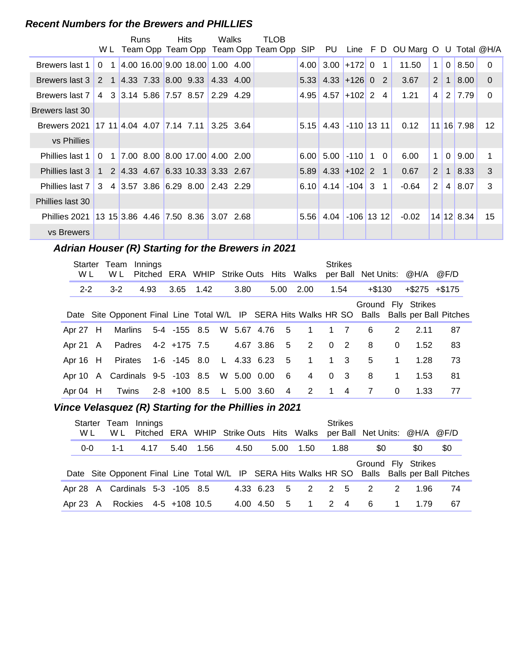#### **Recent Numbers for the Brewers and PHILLIES**

|                                                   |                         | Runs | <b>Hits</b>                            | Walks     | TLOB                                |            |                                  |               |                |                                 |                |                |              |                 |
|---------------------------------------------------|-------------------------|------|----------------------------------------|-----------|-------------------------------------|------------|----------------------------------|---------------|----------------|---------------------------------|----------------|----------------|--------------|-----------------|
|                                                   | W L                     |      |                                        |           | Team Opp Team Opp Team Opp Team Opp | <b>SIP</b> | PU                               |               |                | Line F D OU Marg O U Total @H/A |                |                |              |                 |
| Brewers last 1                                    | 0 <sub>1</sub>          |      | 4.00 16.00 9.00 18.00 1.00 4.00        |           |                                     | 4.00       |                                  | $3.00$ +172 0 | $\overline{1}$ | 11.50                           | $\mathbf 1$    | $\overline{0}$ | 8.50         | $\Omega$        |
| Brewers last 3                                    |                         |      | 2 1 4.33 7.33 8.00 9.33 4.33 4.00      |           |                                     |            | $5.33$ 4.33 + 126 0 2            |               |                | 3.67                            | $\mathbf{2}$   | $\mathbf{1}$   | 8.00         | $\Omega$        |
| Brewers last 7                                    | 4                       |      | 3 3.14 5.86 7.57 8.57                  | 2.29 4.29 |                                     |            | $4.95$   $4.57$   $+102$   2   4 |               |                | 1.21                            | 4              | 2              | 17.79        | $\Omega$        |
| Brewers last 30                                   |                         |      |                                        |           |                                     |            |                                  |               |                |                                 |                |                |              |                 |
| Brewers 2021 17 11 4.04 4.07 7.14 7.11 3.25 3.64  |                         |      |                                        |           |                                     | 5.15       | 4.43                             | $-110$ 13 11  |                | 0.12                            |                |                | $11$ 16 7.98 | 12 <sup>2</sup> |
| vs Phillies                                       |                         |      |                                        |           |                                     |            |                                  |               |                |                                 |                |                |              |                 |
| Phillies last 1                                   | $\Omega$<br>$\mathbf 1$ |      | $\vert$ 7.00 8.00 8.00 17.00 4.00 2.00 |           |                                     | 6.00       | 5.00                             | $-110$ 1      | $\Omega$       | 6.00                            | $\mathbf{1}$   | $\Omega$       | 9.00         | 1               |
| Phillies last 3                                   |                         |      | 1 2 4.33 4.67 6.33 10.33 3.33 2.67     |           |                                     |            | $5.89$ 4.33 + 102 2 1            |               |                | 0.67                            | 2              | $\mathbf{1}$   | 8.33         | 3               |
| Phillies last 7 3 4 3.57 3.86 6.29 8.00 2.43 2.29 |                         |      |                                        |           |                                     |            | $6.10$ 4.14 -104 3 1             |               |                | $-0.64$                         | $\overline{2}$ | 4              | 8.07         | 3               |
| Phillies last 30                                  |                         |      |                                        |           |                                     |            |                                  |               |                |                                 |                |                |              |                 |
| Phillies 2021 13 15 3.86 4.46 7.50 8.36           |                         |      |                                        | 3.07 2.68 |                                     | 5.56       | 4.04                             | $-106$ 13 12  |                | $-0.02$                         |                |                | $14$ 12 8.34 | 15              |
| vs Brewers                                        |                         |      |                                        |           |                                     |            |                                  |               |                |                                 |                |                |              |                 |

## Adrian Houser (R) Starting for the Brewers in 2021

| Starter<br>W L | Team Innings<br>W L             |      |                                |  |               |                | Pitched ERA WHIP Strike Outs Hits Walks | <b>Strikes</b> | per Ball Net Units: @H/A |              |                     | @F/D                                                                                          |
|----------------|---------------------------------|------|--------------------------------|--|---------------|----------------|-----------------------------------------|----------------|--------------------------|--------------|---------------------|-----------------------------------------------------------------------------------------------|
| $2 - 2$        | $3-2$                           | 4.93 | 3.65 1.42                      |  | 3.80          |                | 5.00 2.00                               | 1.54           | +\$130                   |              | $+$ \$275 $+$ \$175 |                                                                                               |
|                |                                 |      |                                |  |               |                |                                         |                |                          |              | Ground Fly Strikes  | Date Site Opponent Final Line Total W/L IP SERA Hits Walks HR SO Balls Balls per Ball Pitches |
| Apr 27 H       |                                 |      |                                |  |               |                | Marlins 5-4 -155 8.5 W 5.67 4.76 5 1    | $1 \quad 7$    | 6                        | 2            | 2.11                | 87                                                                                            |
| Apr 21 A       |                                 |      | Padres 4-2 +175 7.5            |  | 4.67 3.86 5   |                | $\overline{2}$                          | $0\quad 2$     | 8                        | $\Omega$     | 1.52                | 83                                                                                            |
| Apr 16 H       |                                 |      | Pirates 1-6 -145 8.0           |  |               |                | L 4.33 6.23 5 1                         | $1 \quad 3$    | 5                        | $\mathbf{1}$ | 1.28                | 73                                                                                            |
|                | Apr 10 A Cardinals 9-5 -103 8.5 |      |                                |  | W 5.00 0.00 6 |                | $\overline{4}$                          | 0 <sup>3</sup> | 8                        | 1            | 1.53                | 81                                                                                            |
| Apr 04 H       |                                 |      | Twins 2-8 +100 8.5 L 5.00 3.60 |  |               | $\overline{4}$ | $2^{\circ}$                             | $1 \quad 4$    | $\overline{7}$           | $\mathbf{0}$ | 1.33                | 77                                                                                            |

## **..........Vince Velasquez (R) Starting for the Phillies in 2021**

| Starter<br>W L | W L     | Team Innings                    |      |      | Pitched ERA WHIP Strike Outs Hits Walks per Ball Net Units: @H/A @F/D                         |             |      |      | <b>Strikes</b> |                          |                |      |     |
|----------------|---------|---------------------------------|------|------|-----------------------------------------------------------------------------------------------|-------------|------|------|----------------|--------------------------|----------------|------|-----|
| $0-0$          | $1 - 1$ | 4.17                            | 5.40 | 1.56 | 4.50                                                                                          |             | 5.00 | 1.50 | 1.88           | \$0                      |                | \$0  | \$0 |
|                |         |                                 |      |      | Date Site Opponent Final Line Total W/L IP SERA Hits Walks HR SO Balls Balls per Ball Pitches |             |      |      |                | Ground Fly Strikes       |                |      |     |
|                |         | Apr 28 A Cardinals 5-3 -105 8.5 |      |      |                                                                                               | 4.33 6.23 5 |      |      | 2 2 5          | $\overline{\phantom{a}}$ | 2              | 1.96 | 74  |
|                |         | Apr 23 A Rockies 4-5 +108 10.5  |      |      |                                                                                               | 4.00 4.50   | $-5$ |      | 1 2 4          | - 6                      | $\overline{1}$ | 1.79 | 67  |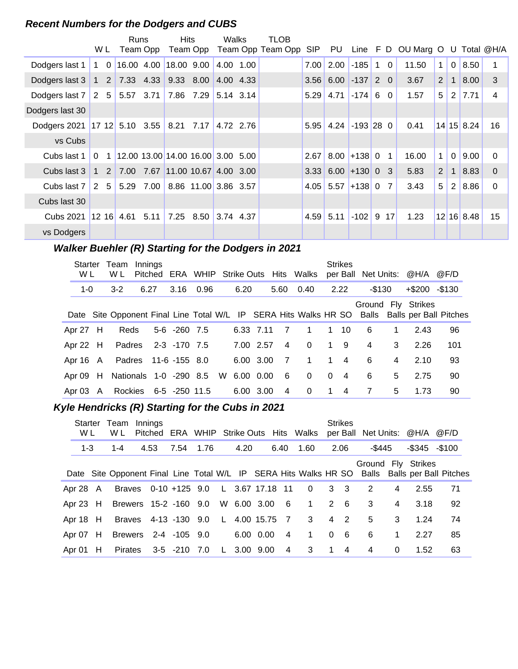#### **Recent Numbers for the Dodgers and CUBS**

|                                                                  | W L                            | Runs                                | Team Opp | <b>Hits</b>                     | Team Opp            | Walks     | TLOB<br>Team Opp Team Opp | SIP               |                                          |                  |                |                 | PU Line F D OU Marg O U Total @H/A |              |              |            |          |
|------------------------------------------------------------------|--------------------------------|-------------------------------------|----------|---------------------------------|---------------------|-----------|---------------------------|-------------------|------------------------------------------|------------------|----------------|-----------------|------------------------------------|--------------|--------------|------------|----------|
|                                                                  |                                |                                     |          |                                 |                     |           |                           |                   |                                          |                  |                |                 |                                    |              |              |            |          |
| Dodgers last 1                                                   | $1\quad 0$                     |                                     |          | 16.00 4.00 18.00 9.00           |                     | 4.00 1.00 |                           | 7.00 <sub>l</sub> | 2.00                                     | $-185$           | $\mathbf 1$    | $\overline{0}$  | 11.50                              | $\mathbf{1}$ | $\mathbf{0}$ | 8.50       |          |
| Dodgers last 3   1   2   7.33   4.33   9.33   8.00   4.00   4.33 |                                |                                     |          |                                 |                     |           |                           |                   | $3.56$ 6.00 -137 2 0                     |                  |                |                 | 3.67                               | 2            | $\mathbf 1$  | 8.00       | 3        |
| Dodgers last 7 2 5 5.57 3.71 7.86 7.29 5.14 3.14                 |                                |                                     |          |                                 |                     |           |                           | 5.29              | 4.71                                     | $-174$ 6 0       |                |                 | 1.57                               | 5            | 2            | 7.71       | 4        |
| Dodgers last 30                                                  |                                |                                     |          |                                 |                     |           |                           |                   |                                          |                  |                |                 |                                    |              |              |            |          |
| Dodgers 2021 17 12 5.10 3.55 8.21 7.17                           |                                |                                     |          |                                 |                     | 4.72 2.76 |                           | 5.95              |                                          | $4.24$ -193 28 0 |                |                 | 0.41                               |              |              | 14 15 8.24 | 16       |
| vs Cubs                                                          |                                |                                     |          |                                 |                     |           |                           |                   |                                          |                  |                |                 |                                    |              |              |            |          |
| Cubs last 1                                                      | $\overline{0}$<br>$\mathbf{1}$ | $12.00$ 13.00 14.00 16.00 3.00 5.00 |          |                                 |                     |           |                           | 2.67              |                                          | $8.00 + 1380$    | $\overline{1}$ |                 | 16.00                              | $\mathbf 1$  | $\Omega$     | 9.00       | $\Omega$ |
| Cubs last 3                                                      | $1\quad2$                      |                                     |          | 7.00 7.67 11.00 10.67 4.00 3.00 |                     |           |                           |                   | $3.33 \mid 6.00 \mid +130 \mid 0 \mid 3$ |                  |                |                 | 5.83                               | 2            | $\mathbf{1}$ | 8.83       | $\Omega$ |
| Cubs last 7                                                      | 2                              | 5 5.29 7.00 8.86 11.00 3.86 3.57    |          |                                 |                     |           |                           |                   | $4.05$ 5.57 +138 0 7                     |                  |                |                 | 3.43                               | 5            | 2            | 8.86       | $\Omega$ |
| Cubs last 30                                                     |                                |                                     |          |                                 |                     |           |                           |                   |                                          |                  |                |                 |                                    |              |              |            |          |
| Cubs 2021                                                        | 1216                           | 4.61                                | 5.11     |                                 | 7.25 8.50 3.74 4.37 |           |                           | 4.59              | 5.11                                     | $-102$ 9         |                | 17 <sup>1</sup> | 1.23                               |              |              | 12 16 8.48 | 15       |
| vs Dodgers                                                       |                                |                                     |          |                                 |                     |           |                           |                   |                                          |                  |                |                 |                                    |              |              |            |          |

## **Walker Buehler (R) Starting for the Dodgers in 2021**

| <b>Starter</b><br>W L | Team<br>W L            | Innings |                       |      |     |           |           |                | Pitched ERA WHIP Strike Outs Hits Walks                          |             | <b>Strikes</b> |           |                | per Ball Net Units: @H/A @F/D |                              |
|-----------------------|------------------------|---------|-----------------------|------|-----|-----------|-----------|----------------|------------------------------------------------------------------|-------------|----------------|-----------|----------------|-------------------------------|------------------------------|
| $1 - 0$               | $3-2$                  | 6.27    | 3.16                  | 0.96 |     | 6.20      |           | 5.60           | 0.40                                                             |             | 2.22           | $-$ \$130 |                | $+$ \$200 $-$ \$130           |                              |
|                       |                        |         |                       |      |     |           |           |                | Date Site Opponent Final Line Total W/L IP SERA Hits Walks HR SO |             |                |           |                | Ground Fly Strikes            | Balls Balls per Ball Pitches |
| Apr $27$ H            | Reds                   |         | 5-6 -260 7.5          |      |     |           | 6.33 7.11 | - 7            |                                                                  | 1           | 10             | 6         | 1              | 2.43                          | 96                           |
| Apr 22 H              |                        |         | Padres 2-3 -170 7.5   |      |     |           | 7.00 2.57 | 4              | $\Omega$                                                         | $\mathbf 1$ | 9              | 4         | 3              | 2.26                          | 101                          |
| Apr 16 A              |                        |         | Padres 11-6 -155 8.0  |      |     |           | 6.00 3.00 | $\overline{7}$ | $\overline{1}$                                                   | $\mathbf 1$ | $\overline{4}$ | 6         | $\overline{4}$ | 2.10                          | 93                           |
| Apr $09$ H            | Nationals 1-0 -290 8.5 |         |                       |      | - W | 6.00 0.00 |           | - 6            | $\mathbf{0}$                                                     | $\Omega$    | $\overline{4}$ | 6         | 5              | 2.75                          | 90                           |
| Apr $03 \text{ A}$    |                        |         | Rockies 6-5 -250 11.5 |      |     |           | 6.00 3.00 | 4              | $\mathbf{0}$                                                     | 1.          | $\overline{4}$ | 7         | 5              | 1.73                          | 90                           |

## **Kyle Hendricks (R) Starting for the Cubs in 2021**

| W L        |   | Starter Team<br>W L | Innings |                                      |      |               |                 | Pitched ERA WHIP Strike Outs Hits Walks |                  | <b>Strikes</b>  |        |              | per Ball Net Units: @H/A @F/D |                                                                                               |
|------------|---|---------------------|---------|--------------------------------------|------|---------------|-----------------|-----------------------------------------|------------------|-----------------|--------|--------------|-------------------------------|-----------------------------------------------------------------------------------------------|
| $1 - 3$    |   | 1-4                 | 4.53    | 7.54                                 | 1.76 | 4.20          | 6.40            | 1.60                                    |                  | 2.06            | -\$445 |              | $-$ \$345 $-$ \$100           |                                                                                               |
|            |   |                     |         |                                      |      |               |                 |                                         |                  |                 |        |              | Ground Fly Strikes            | Date Site Opponent Final Line Total W/L IP SERA Hits Walks HR SO Balls Balls per Ball Pitches |
| Apr 28 A   |   |                     |         | Braves 0-10 +125 9.0 L 3.67 17.18 11 |      |               |                 | $\overline{\mathbf{0}}$                 | $\overline{3}$ 3 |                 | 2      | 4            | 2.55                          | 71                                                                                            |
| Apr $23$ H |   |                     |         | Brewers 15-2 -160 9.0                |      | W 6.00 3.00   | $6\overline{6}$ | $\mathbf{1}$                            |                  | $2 \quad 6$     | 3      | 4            | 3.18                          | 92                                                                                            |
| Apr 18 H   |   |                     |         | Braves 4-13 -130 9.0 L 4.00 15.75 7  |      |               |                 | 3                                       | $\overline{4}$   | $\overline{2}$  | 5      | 3            | 1.24                          | 74                                                                                            |
| Apr 07     | H |                     |         | Brewers 2-4 -105 9.0                 |      | 6.00 0.00     | $\overline{4}$  | $\mathbf{1}$                            | $\overline{0}$   | $6\overline{6}$ | 6      | $\mathbf{1}$ | 2.27                          | 85                                                                                            |
| Apr 01     | H |                     |         | Pirates 3-5 -210 7.0                 |      | $L$ 3.00 9.00 | $\overline{4}$  | 3                                       | $\mathbf 1$      | $\overline{4}$  | 4      | $\Omega$     | 1.52                          | 63                                                                                            |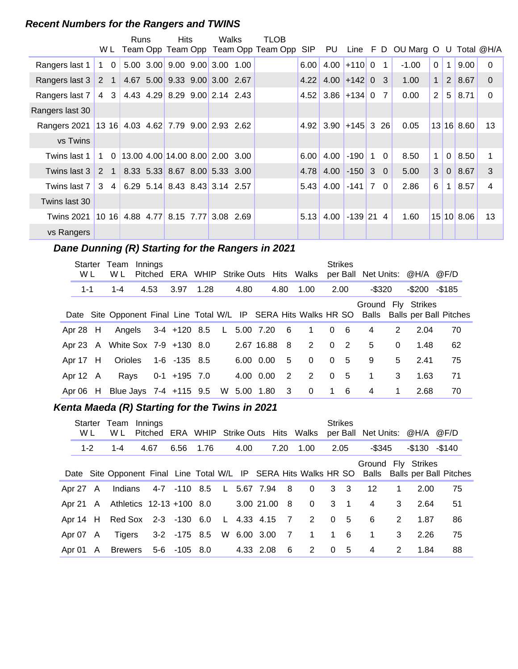#### **Recent Numbers for the Rangers and TWINS**

|                                                          |             |                | Runs | <b>Hits</b>                         | Walks | <b>TLOB</b>                             |            |                     |                   |                |                                 |                |                |            |              |
|----------------------------------------------------------|-------------|----------------|------|-------------------------------------|-------|-----------------------------------------|------------|---------------------|-------------------|----------------|---------------------------------|----------------|----------------|------------|--------------|
|                                                          |             |                |      |                                     |       | W L Team Opp Team Opp Team Opp Team Opp | <b>SIP</b> | PU                  |                   |                | Line F D OU Marg O U Total @H/A |                |                |            |              |
| Rangers last 1                                           | $1\quad 0$  |                |      | $5.00$ 3.00 9.00 9.00 3.00 1.00     |       |                                         | 6.00       | 4.00                | $+110$ 0          | $\mathbf{1}$   | $-1.00$                         | $\Omega$       | 1              | 9.00       | $\Omega$     |
| Rangers last 3                                           | 2 1         |                |      | 4.67 5.00 9.33 9.00 3.00 2.67       |       |                                         | 4.22       |                     | $4.00 + 1420 = 3$ |                | 1.00                            | $\mathbf{1}$   | 2 <sup>2</sup> | 8.67       | $\Omega$     |
| Rangers last 7                                           | 4           | 3              |      | 4.43 4.29 8.29 9.00 2.14 2.43       |       |                                         |            | $4.52$ 3.86 + 134 0 |                   | - 7 I          | 0.00                            | $\overline{2}$ | 5              | 8.71       | $\mathbf{0}$ |
| Rangers last 30                                          |             |                |      |                                     |       |                                         |            |                     |                   |                |                                 |                |                |            |              |
| Rangers 2021   13 16   4.03 4.62   7.79 9.00   2.93 2.62 |             |                |      |                                     |       |                                         | 4.92       | 3.90                | $+145$ 3 26       |                | 0.05                            |                |                | 13 16 8.60 | 13           |
| vs Twins                                                 |             |                |      |                                     |       |                                         |            |                     |                   |                |                                 |                |                |            |              |
| Twins last 1                                             | $\mathbf 1$ | $\overline{0}$ |      | 13.00 4.00 14.00 8.00 2.00 3.00     |       |                                         | 6.00       | 4.00                | $-190$            | 1 0            | 8.50                            | $\mathbf 1$    | $\mathbf 0$    | 8.50       | 1            |
| Twins last 3                                             | 2           | $\overline{1}$ |      | 8.33 5.33 8.67 8.00 5.33 3.00       |       |                                         | 4.78       | 4.00                | $-150$ 3 0        |                | 5.00                            | 3              | $\overline{0}$ | 8.67       | 3            |
| Twins last 7                                             | 3           | $\overline{4}$ |      | $6.29$ 5.14 8.43 8.43 3.14 2.57     |       |                                         | 5.43       | 4.00                | $-141$ 7 0        |                | 2.86                            | 6              | 1              | 8.57       | 4            |
| Twins last 30                                            |             |                |      |                                     |       |                                         |            |                     |                   |                |                                 |                |                |            |              |
| <b>Twins 2021</b>                                        |             |                |      | 10 16 4.88 4.77 8.15 7.77 3.08 2.69 |       |                                         | 5.13       | 4.00                | $-139$ 21         | $\overline{4}$ | 1.60                            |                |                | 15 10 8.06 | 13           |
| vs Rangers                                               |             |                |      |                                     |       |                                         |            |                     |                   |                |                                 |                |                |            |              |

## **Dane Dunning (R) Starting for the Rangers in 2021**

| Starter<br>W L | Team<br>W L                     | Innings |                      |      |               |            |                         | Pitched ERA WHIP Strike Outs Hits Walks |          | <b>Strikes</b> |                |          | per Ball Net Units: @H/A @F/D                                                                                       |    |  |
|----------------|---------------------------------|---------|----------------------|------|---------------|------------|-------------------------|-----------------------------------------|----------|----------------|----------------|----------|---------------------------------------------------------------------------------------------------------------------|----|--|
| $1 - 1$        | $1 - 4$                         | 4.53    | 3.97                 | 1.28 | 4.80          |            | 4.80                    | 1.00                                    |          | 2.00           | $-$ \$320      |          | $-$200 - $185$                                                                                                      |    |  |
|                |                                 |         |                      |      |               |            |                         |                                         |          |                |                |          | Ground Fly Strikes<br>Date Site Opponent Final Line Total W/L IP SERA Hits Walks HR SO Balls Balls per Ball Pitches |    |  |
| Apr 28 H       |                                 |         | Angels 3-4 +120 8.5  |      | L 5.00 7.20 6 |            |                         | $\overline{1}$                          |          | 0 <sub>6</sub> | 4              | 2        | 2.04                                                                                                                | 70 |  |
|                | Apr 23 A White Sox 7-9 +130 8.0 |         |                      |      |               | 2.67 16.88 | -8                      | 2                                       | $\Omega$ | $\overline{2}$ | 5              | $\Omega$ | 1.48                                                                                                                | 62 |  |
| Apr 17 H       |                                 |         | Orioles 1-6 -135 8.5 |      |               | 6.00 0.00  | 5                       | $\Omega$                                |          | 0 <sub>5</sub> | 9              | 5        | 2.41                                                                                                                | 75 |  |
| Apr 12 A       | Rays                            |         | $0-1$ +195 7.0       |      |               | 4.00 0.00  | $\overline{2}$          | 2                                       |          | 0 <sub>5</sub> | $\overline{1}$ | 3        | 1.63                                                                                                                | 71 |  |
|                | Apr 06 H Blue Jays 7-4 +115 9.5 |         |                      |      | W 5.00 1.80   |            | $\overline{\mathbf{3}}$ | $\overline{\mathbf{0}}$                 |          | $1\quad 6$     | 4              | 1        | 2.68                                                                                                                | 70 |  |

## **..........Kenta Maeda (R) Starting for the Twins in 2021**

| W L     |          | Starter Team<br>W L               | Innings<br>Pitched |                            |  |               |      | ERA WHIP Strike Outs Hits Walks |          | <b>Strikes</b> | per Ball Net Units: @H/A @F/D |             |                     |                                                                                               |
|---------|----------|-----------------------------------|--------------------|----------------------------|--|---------------|------|---------------------------------|----------|----------------|-------------------------------|-------------|---------------------|-----------------------------------------------------------------------------------------------|
| $1 - 2$ |          | $1 - 4$                           | 4.67               | 6.56 1.76                  |  | 4.00          | 7.20 | 1.00                            |          | 2.05           | -\$345                        |             | $-$ \$130 $-$ \$140 |                                                                                               |
|         |          |                                   |                    |                            |  |               |      |                                 |          |                | Ground Fly Strikes            |             |                     | Date Site Opponent Final Line Total W/L IP SERA Hits Walks HR SO Balls Balls per Ball Pitches |
|         |          | Apr 27 A Indians                  |                    | 4-7 -110 8.5 L 5.67 7.94 8 |  |               |      | $\overline{\mathbf{0}}$         |          | 3 <sup>3</sup> | 12                            | $\mathbf 1$ | 2.00                | 75                                                                                            |
|         |          | Apr 21 A Athletics 12-13 +100 8.0 |                    |                            |  | 3.00 21.00 8  |      | $\overline{0}$                  |          | $3 \quad 1$    | 4                             | 3           | 2.64                | 51                                                                                            |
|         |          | Apr 14 H Red Sox 2-3 -130 6.0     |                    |                            |  | L 4.33 4.15 7 |      | $2^{\circ}$                     | $\Omega$ | $-5$           | -6                            | 2           | 1.87                | 86                                                                                            |
|         | Apr 07 A |                                   |                    | Tigers 3-2 -175 8.5        |  |               |      | W 6.00 3.00 7 1 1 6             |          |                | $\overline{1}$                | 3           | 2.26                | 75                                                                                            |
|         |          | Apr 01 A Brewers 5-6 -105 8.0     |                    |                            |  | 4.33 2.08     | -6   | 2                               | $\Omega$ | - 5            | 4                             | 2           | 1.84                | 88                                                                                            |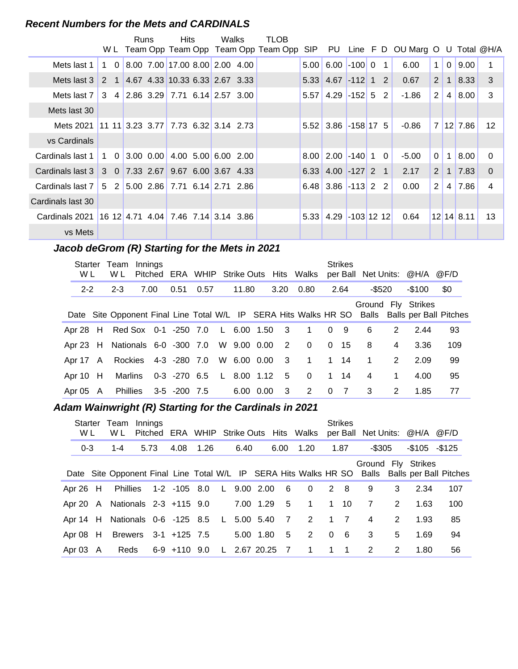#### **Recent Numbers for the Mets and CARDINALS**

|                                                    |   |             | <b>Runs</b>   | <b>Hits</b>                                                                                           | Walks               | <b>TLOB</b>                                 |      |                            |          |    |                                 |                |                |            |                 |
|----------------------------------------------------|---|-------------|---------------|-------------------------------------------------------------------------------------------------------|---------------------|---------------------------------------------|------|----------------------------|----------|----|---------------------------------|----------------|----------------|------------|-----------------|
|                                                    |   |             |               |                                                                                                       |                     | W L Team Opp Team Opp Team Opp Team Opp SIP |      | PU.                        |          |    | Line F D OU Marg O U Total @H/A |                |                |            |                 |
| Mets last 1                                        | 1 | $\Omega$    |               | 8.00 7.00 17.00 8.00 2.00 4.00                                                                        |                     |                                             | 5.00 | 6.00                       | $-100$ 0 | 1  | 6.00                            | 1              | $\mathbf 0$    | 9.00       |                 |
| Mets last 3                                        |   | $2 \quad 1$ |               | $\begin{array}{ c c c c c c c c } \hline 4.67 & 4.33 & 10.33 & 6.33 & 2.67 & 3.33 \hline \end{array}$ |                     |                                             |      | $5.33$ 4.67 -112 1 2       |          |    | 0.67                            | $\overline{2}$ | $\mathbf{1}$   | 8.33       | 3               |
| Mets last 7                                        |   |             |               | $3 \quad 4 \quad 2.86 \quad 3.29 \quad 7.71 \quad 6.14 \quad 2.57 \quad 3.00$                         |                     |                                             |      | $5.57$   4.29   -152   5   |          | -2 | $-1.86$                         | $\overline{2}$ | $\overline{4}$ | 8.00       | 3               |
| Mets last 30                                       |   |             |               |                                                                                                       |                     |                                             |      |                            |          |    |                                 |                |                |            |                 |
| Mets 2021                                          |   |             |               | 11 11 3.23 3.77 7.73 6.32 3.14 2.73                                                                   |                     |                                             |      | $5.52$ 3.86 $-158$ 17 5    |          |    | $-0.86$                         | $\overline{7}$ |                | $12$ 7.86  | 12 <sup>2</sup> |
| vs Cardinals                                       |   |             |               |                                                                                                       |                     |                                             |      |                            |          |    |                                 |                |                |            |                 |
| Cardinals last 1                                   |   |             | 1 0 3.00 0.00 |                                                                                                       | 4.00 5.00 6.00 2.00 |                                             |      | $8.00$   2.00   -140   1 0 |          |    | $-5.00$                         | $\Omega$       | $\mathbf 1$    | 8.00       | $\Omega$        |
| Cardinals last 3 3 0 7.33 2.67 9.67 6.00 3.67 4.33 |   |             |               |                                                                                                       |                     |                                             |      | $6.33$ 4.00 -127 2 1       |          |    | 2.17                            | $\overline{2}$ | $\overline{1}$ | 7.83       | $\Omega$        |
| Cardinals last 7                                   |   |             |               | $5$ 2 5.00 2.86 7.71 6.14 2.71 2.86                                                                   |                     |                                             |      | $6.48$ 3.86 -113 2 2       |          |    | 0.00                            | $\overline{2}$ | 4              | 7.86       | 4               |
| Cardinals last 30                                  |   |             |               |                                                                                                       |                     |                                             |      |                            |          |    |                                 |                |                |            |                 |
| Cardinals 2021                                     |   |             |               | $16$ 12 4.71 4.04 7.46 7.14 3.14 3.86                                                                 |                     |                                             |      | 5.33 4.29 -103 12 12       |          |    | 0.64                            |                |                | 12 14 8.11 | 13              |
| vs Mets                                            |   |             |               |                                                                                                       |                     |                                             |      |                            |          |    |                                 |                |                |            |                 |

## **..........Jacob deGrom (R) Starting for the Mets in 2021**

| Starter<br>W L | Team<br>W L                                 | Innings<br>Pitched |                          |      |             |                         | ERA WHIP Strike Outs Hits Walks |          | <b>Strikes</b> |           |               | per Ball Net Units: @H/A @F/D |                                                                                               |
|----------------|---------------------------------------------|--------------------|--------------------------|------|-------------|-------------------------|---------------------------------|----------|----------------|-----------|---------------|-------------------------------|-----------------------------------------------------------------------------------------------|
| $2 - 2$        | $2 - 3$                                     | 7.00               | 0.51                     | 0.57 | 11.80       | 3.20                    | 0.80                            |          | 2.64           | $-$ \$520 |               | -\$100                        | \$0                                                                                           |
|                |                                             |                    |                          |      |             |                         |                                 |          |                |           |               | Ground Fly Strikes            | Date Site Opponent Final Line Total W/L IP SERA Hits Walks HR SO Balls Balls per Ball Pitches |
|                | Apr 28 H Red Sox 0-1 -250 7.0 L 6.00 1.50   |                    |                          |      |             | $\overline{\mathbf{3}}$ | $\overline{1}$                  | $\Omega$ | 9              | 6         | 2             | 2.44                          | 93                                                                                            |
|                | Apr 23 H Nationals 6-0 -300 7.0 W 9.00 0.00 |                    |                          |      |             | $\overline{2}$          | $\Omega$                        | $\Omega$ | - 15           | 8         | 4             | 3.36                          | 109                                                                                           |
| Apr 17 A       |                                             |                    | Rockies 4-3 -280 7.0     |      | W 6.00 0.00 | $\overline{\mathbf{3}}$ | $\mathbf{1}$                    | 1        | 14             | 1         | $\mathcal{P}$ | 2.09                          | 99                                                                                            |
| Apr $10$ H     | Marlins                                     |                    | 0-3 -270 6.5 L 8.00 1.12 |      |             | - 5                     | $\Omega$                        | 1        | 14             | 4         | 1             | 4.00                          | 95                                                                                            |
| Apr $05$ A     |                                             |                    | Phillies 3-5 -200 7.5    |      | 6.00 0.00   | - 3                     | 2                               | $\Omega$ | $\overline{7}$ | 3         | 2             | 1.85                          | 77                                                                                            |

#### Adam Wainwright (R) Starting for the Cardinals in 2021

| W L        | Starter Team<br>W L                         | Innings |                          |      |      |                |                 |                |                | <b>Strikes</b> |                |   | Pitched ERA WHIP Strike Outs Hits Walks per Ball Net Units: @H/A @F/D |                                                                                               |
|------------|---------------------------------------------|---------|--------------------------|------|------|----------------|-----------------|----------------|----------------|----------------|----------------|---|-----------------------------------------------------------------------|-----------------------------------------------------------------------------------------------|
| $0 - 3$    | $1 - 4$                                     | 5.73    | 4.08                     | 1.26 | 6.40 |                | 6.00            | 1.20           |                | 1.87           | -\$305         |   | $-$105 - $125$                                                        |                                                                                               |
|            |                                             |         |                          |      |      |                |                 |                |                |                |                |   | Ground Fly Strikes                                                    | Date Site Opponent Final Line Total W/L IP SERA Hits Walks HR SO Balls Balls per Ball Pitches |
| Apr 26 H   | Phillies                                    |         | 1-2 -105 8.0 L 9.00 2.00 |      |      |                | $6\overline{6}$ | $\overline{0}$ |                | 2 8            | 9              | 3 | 2.34                                                                  | 107                                                                                           |
|            | Apr 20 A Nationals 2-3 +115 9.0             |         |                          |      |      | 7.00 1.29      | 5               | $\overline{1}$ | $\overline{1}$ | - 10           | $\overline{7}$ | 2 | 1.63                                                                  | 100                                                                                           |
|            | Apr 14 H Nationals 0-6 -125 8.5 L 5.00 5.40 |         |                          |      |      |                | $\overline{7}$  | 2              | $1 \quad 7$    |                | 4              | 2 | 1.93                                                                  | 85                                                                                            |
| Apr $08$ H | Brewers 3-1 +125 7.5                        |         |                          |      |      | 5.00 1.80      | 5               | 2              | $\overline{0}$ | - 6            | 3              | 5 | 1.69                                                                  | 94                                                                                            |
| Apr 03 A   |                                             |         | Reds 6-9 +110 9.0        |      |      | L 2.67 20.25 7 |                 | 1              | 1              | $\blacksquare$ | 2              | 2 | 1.80                                                                  | 56                                                                                            |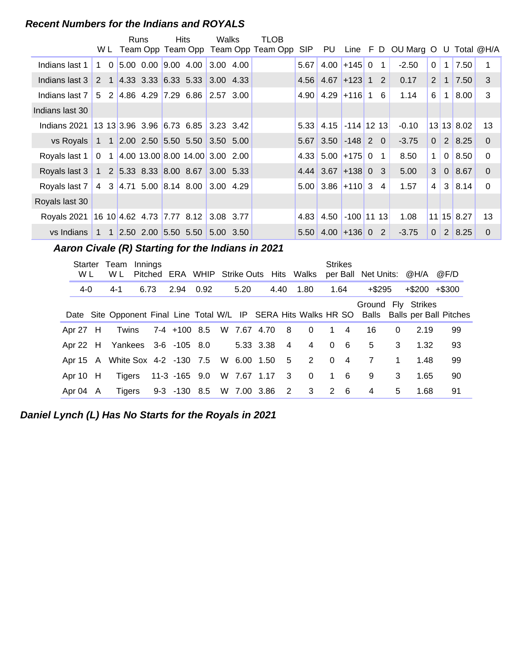#### **Recent Numbers for the Indians and ROYALS**

|                                                                 |                                     | Runs |  | Hits                                                                            | Walks     | TLOB                                    |            |                                |                  |   |                                    |                       |                |               |              |
|-----------------------------------------------------------------|-------------------------------------|------|--|---------------------------------------------------------------------------------|-----------|-----------------------------------------|------------|--------------------------------|------------------|---|------------------------------------|-----------------------|----------------|---------------|--------------|
|                                                                 |                                     |      |  |                                                                                 |           | W L Team Opp Team Opp Team Opp Team Opp | <b>SIP</b> |                                |                  |   | PU Line F D OU Marg O U Total @H/A |                       |                |               |              |
| Indians last 1                                                  | $1\quad 0$                          |      |  |                                                                                 |           |                                         | 5.67       |                                | $4.00$ + 145 0 1 |   | $-2.50$                            | 0                     | $\mathbf{1}$   | 7.50          | 1            |
| Indians last 3                                                  |                                     |      |  | 2 1 4.33 3.33 6.33 5.33 3.00 4.33                                               |           |                                         |            | $4.56$ $4.67$ $+123$ 1 2       |                  |   | 0.17                               | $\mathbf{2}^{\prime}$ | $\mathbf{1}$   | 7.50          | 3            |
| Indians last 7                                                  |                                     |      |  | 5 2 4.86 4.29 7.29 6.86 2.57 3.00                                               |           |                                         |            | $4.90$   $4.29$   $+116$   1 6 |                  |   | 1.14                               | 6                     | $\mathbf{1}$   | 8.00          | 3            |
| Indians last 30                                                 |                                     |      |  |                                                                                 |           |                                         |            |                                |                  |   |                                    |                       |                |               |              |
| Indians 2021                                                    | 13 13 3.96 3.96 6.73 6.85 3.23 3.42 |      |  |                                                                                 |           |                                         | 5.33       |                                | 4.15 -114 12 13  |   | $-0.10$                            |                       |                | 13 13 8.02    | 13           |
| $vs$ Royals                                                     |                                     |      |  | 1 1 2.00 2.50 5.50 5.50 3.50 5.00                                               |           |                                         | 5.67       |                                | $3.50$ -148 2 0  |   | $-3.75$                            | $\Omega$              |                | $2 \mid 8.25$ | $\Omega$     |
| Royals last 1                                                   |                                     |      |  | $0 \quad 1 \quad 4.00 \quad 13.00 \quad 8.00 \quad 14.00 \quad 3.00 \quad 2.00$ |           |                                         | 4.33       |                                | $5.00$ +175 0 1  |   | 8.50                               | 1                     | $\overline{0}$ | 8.50          | $\Omega$     |
| Royals last 3   1   2   5.33   8.33   8.00   8.67   3.00   5.33 |                                     |      |  |                                                                                 |           |                                         |            | $4.44$ 3.67 + 138 0 3          |                  |   | 5.00                               | 3                     | 0              | 8.67          | $\Omega$     |
| Royals last 7   4 3   4.71 5.00   8.14 8.00   3.00 4.29         |                                     |      |  |                                                                                 |           |                                         |            | $5.00$ 3.86 + 110 3 4          |                  |   | 1.57                               | 4 <sup>1</sup>        |                | 3 8.14        | $\mathbf{0}$ |
| Royals last 30                                                  |                                     |      |  |                                                                                 |           |                                         |            |                                |                  |   |                                    |                       |                |               |              |
| Royals 2021                                                     | 16 10 4.62 4.73 7.77 8.12 3.08 3.77 |      |  |                                                                                 |           |                                         | 4.83       | 4.50                           | $-100$ 11 13     |   | 1.08                               |                       |                | $11$ 15 8.27  | 13           |
| vs Indians 1 1 1 2.50 2.00 5.50 5.50                            |                                     |      |  |                                                                                 | 5.00 3.50 |                                         |            | $5.50$ 4.00 + 136 0            |                  | 2 | $-3.75$                            | $\Omega$              |                | $2 \mid 8.25$ | $\Omega$     |

**..........Aaron Civale (R) Starting for the Indians in 2021**

| Starter<br>W L | Team<br>W L                                   | Innings | Pitched ERA WHIP Strike Outs Hits Walks |  |               |  |                |                         | <b>Strikes</b> |                | per Ball Net Units: @H/A |             |                   | @F/D                                                                                          |
|----------------|-----------------------------------------------|---------|-----------------------------------------|--|---------------|--|----------------|-------------------------|----------------|----------------|--------------------------|-------------|-------------------|-----------------------------------------------------------------------------------------------|
| 4-0            | 4-1                                           | 6.73    | 2.94 0.92                               |  | 5.20          |  |                | 4.40 1.80               | 1.64           |                | $+$ \$295                |             | $+\$200$ $+\$300$ |                                                                                               |
|                |                                               |         |                                         |  |               |  |                |                         |                |                | Ground Fly Strikes       |             |                   | Date Site Opponent Final Line Total W/L IP SERA Hits Walks HR SO Balls Balls per Ball Pitches |
| Apr 27 H       | Twins                                         |         | 7-4 +100 8.5 W 7.67 4.70 8              |  |               |  |                | $\Omega$                |                | $1 \quad 4$    | 16                       | $\Omega$    | 2.19              | 99                                                                                            |
|                | Apr 22 H Yankees 3-6 -105 8.0                 |         |                                         |  | 5.33 3.38     |  | $\overline{4}$ | $\overline{4}$          | $\Omega$       | - 6            | 5                        | 3           | 1.32              | 93                                                                                            |
|                | Apr 15 A White Sox 4-2 -130 7.5 W 6.00 1.50 5 |         |                                         |  |               |  |                | 2                       | $\Omega$       | $\overline{4}$ | 7                        | $\mathbf 1$ | 1.48              | 99                                                                                            |
| Apr $10$ H     | Tigers                                        |         | 11-3 -165 9.0                           |  | W 7.67 1.17 3 |  |                | $\overline{\mathbf{0}}$ |                | $1\quad 6$     | 9                        | 3           | 1.65              | 90                                                                                            |
| Apr 04 A       | Tigers                                        |         | 9-3 -130 8.5 W 7.00 3.86 2              |  |               |  |                | $3^{\circ}$             |                | $2 \quad 6$    | $\overline{4}$           | 5           | 1.68              | 91                                                                                            |

**Daniel Lynch (L) Has No Starts for the Royals in 2021**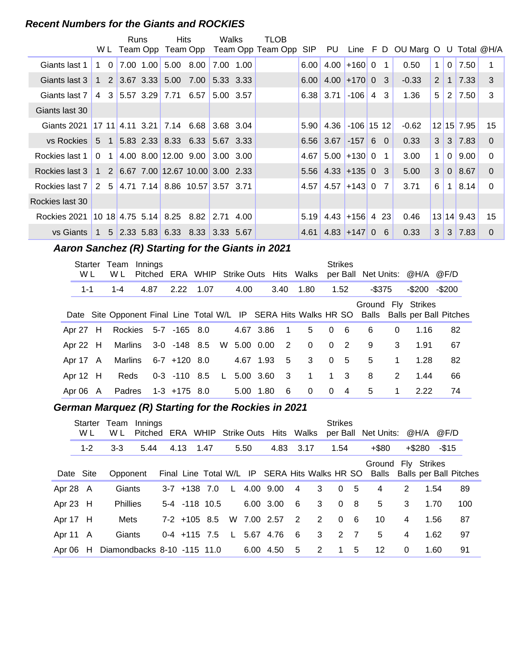#### **Recent Numbers for the Giants and ROCKIES**

|                 |                |          | Runs |              | Hits                                                                          | Walks       | TLOB                       |      |                              |                  |              |                                 |                       |                |               |          |
|-----------------|----------------|----------|------|--------------|-------------------------------------------------------------------------------|-------------|----------------------------|------|------------------------------|------------------|--------------|---------------------------------|-----------------------|----------------|---------------|----------|
|                 |                |          |      | W L Team Opp |                                                                               |             | Team Opp Team Opp Team Opp |      | SIP PU                       |                  |              | Line F D OU Marg O U Total @H/A |                       |                |               |          |
| Giants last 1   | 1              | $\Omega$ |      |              | 7.00 1.00 5.00 8.00                                                           | 7.00 1.00   |                            | 6.00 | 4.00                         | $ +160 0$        | $\mathbf{1}$ | 0.50                            | $\mathbf 1$           | $\Omega$       | 7.50          | 1        |
| Giants last 3   |                |          |      |              | 1 2 3.67 3.33 5.00 7.00                                                       | 5.33 3.33   |                            | 6.00 |                              | $4.00 + 17000$ 3 |              | $-0.33$                         | $\mathbf{2}^{\prime}$ | $\overline{1}$ | 7.33          | 3        |
| Giants last 7   | 4              |          |      |              | 3 5.57 3.29 7.71 6.57                                                         | 5.00 3.57   |                            |      | $6.38 \mid 3.71$             | $-106$ 4         | 3            | 1.36                            | 5                     | 2              | 7.50          | 3        |
| Giants last 30  |                |          |      |              |                                                                               |             |                            |      |                              |                  |              |                                 |                       |                |               |          |
| Giants 2021     |                |          |      |              | $17 \t11 \t4.11 \t3.21 \t7.14 \t6.68$                                         | 3.68 3.04   |                            | 5.90 |                              | 4.36 -106 15 12  |              | $-0.62$                         |                       |                | 12 15 7.95    | 15       |
| vs Rockies      |                |          |      |              | $5 \quad 1 \quad 5.83 \quad 2.33 \quad 8.33 \quad 6.33 \quad 5.67 \quad 3.33$ |             |                            |      | $6.56 \mid 3.67$             | $-15760$         |              | 0.33                            | 3 <sup>1</sup>        |                | $3 \mid 7.83$ | $\Omega$ |
| Rockies last 1  | 0 <sub>1</sub> |          |      |              | 4.00 8.00 12.00 9.00                                                          | $3.00$ 3.00 |                            | 4.67 |                              | $5.00 + 13000$   | 1            | 3.00                            | 1                     | $\Omega$       | 9.00          | $\Omega$ |
| Rockies last 3  |                |          |      |              | 1 2 6.67 7.00 12.67 10.00 3.00 2.33                                           |             |                            |      | $5.56$   4.33 + 135 0        |                  | 3            | 5.00                            | 3                     | 0 <sup>1</sup> | 8.67          | $\Omega$ |
| Rockies last 7  |                |          |      |              | 2 5 4.71 7.14 8.86 10.57 3.57 3.71                                            |             |                            | 4.57 |                              | $4.57$ +143 0    | 7            | 3.71                            | 6                     | 1              | 8.14          | $\Omega$ |
| Rockies last 30 |                |          |      |              |                                                                               |             |                            |      |                              |                  |              |                                 |                       |                |               |          |
| Rockies 2021    |                |          |      |              | $10$ 18 4.75 5.14 8.25 8.82 2.71 4.00                                         |             |                            | 5.19 |                              | $4.43$ +156 4 23 |              | 0.46                            |                       |                | 13 14 9.43    | 15       |
| vs Giants       |                |          |      |              | $1 \quad 5 \quad 2.33 \quad 5.83 \quad 6.33 \quad 8.33 \quad 3.33 \quad 5.67$ |             |                            |      | $4.61$   $4.83$   $+147$   0 |                  | -6           | 0.33                            | 3 <sup>1</sup>        |                | $3 \mid 7.83$ | $\Omega$ |

## **..........Aaron Sanchez (R) Starting for the Giants in 2021**

| Starter<br>W L | Team<br>W L   | Innings |                      |          |             |      |                | Pitched ERA WHIP Strike Outs Hits Walks |          | <b>Strikes</b> |        |             | per Ball Net Units: @H/A @F/D                                                                                       |        |  |
|----------------|---------------|---------|----------------------|----------|-------------|------|----------------|-----------------------------------------|----------|----------------|--------|-------------|---------------------------------------------------------------------------------------------------------------------|--------|--|
| $1 - 1$        | $1 - 4$       | 4.87    | 2.22 1.07            |          | 4.00        |      | 3.40           | 1.80                                    |          | 1.52           | -\$375 |             | -\$200                                                                                                              | -\$200 |  |
|                |               |         |                      |          |             |      |                |                                         |          |                |        |             | Ground Fly Strikes<br>Date Site Opponent Final Line Total W/L IP SERA Hits Walks HR SO Balls Balls per Ball Pitches |        |  |
| Apr 27 H       |               |         | Rockies 5-7 -165 8.0 |          | 4.67 3.86   |      | $\overline{1}$ | 5                                       | $\Omega$ | - 6            | 6      | 0           | 1.16                                                                                                                | 82     |  |
| Apr 22 $H$     |               |         | Marlins 3-0 -148 8.5 |          | W 5.00 0.00 |      | 2              | $\Omega$                                | $\Omega$ | $\overline{2}$ | 9      | 3           | 1.91                                                                                                                | 67     |  |
| Apr 17 A       | Marlins       |         | 6-7 +120 8.0         |          | 4.67 1.93   |      | -5             | 3                                       | $\Omega$ | - 5            | 5      | $\mathbf 1$ | 1.28                                                                                                                | 82     |  |
| Apr $12$ H     | Reds          |         | $0-3 -110$ 8.5       | <b>L</b> | 5.00 3.60   |      | 3              | $\mathbf{1}$                            |          | $1 \quad 3$    | 8      | 2           | 1.44                                                                                                                | 66     |  |
| Apr $06$ A     | <b>Padres</b> |         | 1-3 +175 8.0         |          | 5.00        | 1.80 | 6              | $\Omega$                                | $\Omega$ | $\overline{4}$ | 5      | 1           | 2.22                                                                                                                | 74     |  |

## **..........German Marquez (R) Starting for the Rockies in 2021**

|            | Starter<br>W L | Team<br>W L                 | Innings |      |                |      |              |      | Pitched ERA WHIP Strike Outs Hits Walks |                 |   | <b>Strikes</b><br>per Ball |     | Net Units: @H/A                                                                                  |   |        | @F/D  |     |
|------------|----------------|-----------------------------|---------|------|----------------|------|--------------|------|-----------------------------------------|-----------------|---|----------------------------|-----|--------------------------------------------------------------------------------------------------|---|--------|-------|-----|
|            | $1 - 2$        | $3 - 3$                     | 5.44    | 4.13 |                | 1.47 |              | 5.50 | 4.83                                    | 3.17            |   | 1.54                       |     | $+$ \$80                                                                                         |   | +\$280 | -\$15 |     |
|            | Date Site      | Opponent                    |         |      |                |      |              |      |                                         |                 |   |                            |     | Ground Fly Strikes<br>Final Line Total W/L IP SERA Hits Walks HR SO Balls Balls per Ball Pitches |   |        |       |     |
| Apr 28 A   |                | Giants                      |         |      | $3-7$ +138 7.0 |      | $\mathsf{L}$ |      | 4.00 9.00                               | $\overline{4}$  | 3 | $\Omega$                   | -5  | 4                                                                                                | 2 | 1.54   |       | 89  |
| Apr 23 H   |                | <b>Phillies</b>             |         |      | 5-4 -118 10.5  |      |              |      | 6.00 3.00                               | $6\overline{6}$ | 3 | $\Omega$                   | - 8 | 5                                                                                                | 3 | 1.70   |       | 100 |
| Apr 17 H   |                | Mets                        |         |      | $7-2$ +105 8.5 |      |              |      | W 7.00 2.57                             | $\overline{2}$  | 2 | $\Omega$                   | -6  | 10                                                                                               | 4 | 1.56   |       | 87  |
| Apr 11 A   |                | Giants                      |         |      | $0-4$ +115 7.5 |      | L.           |      | 5.67 4.76                               | $6\overline{6}$ | 3 | $2 \overline{7}$           |     | 5                                                                                                | 4 | 1.62   |       | 97  |
| Apr $06$ H |                | Diamondbacks 8-10 -115 11.0 |         |      |                |      |              |      | 6.00 4.50                               | 5               | 2 | $\mathbf 1$                | 5   | 12                                                                                               | 0 | 1.60   | 91    |     |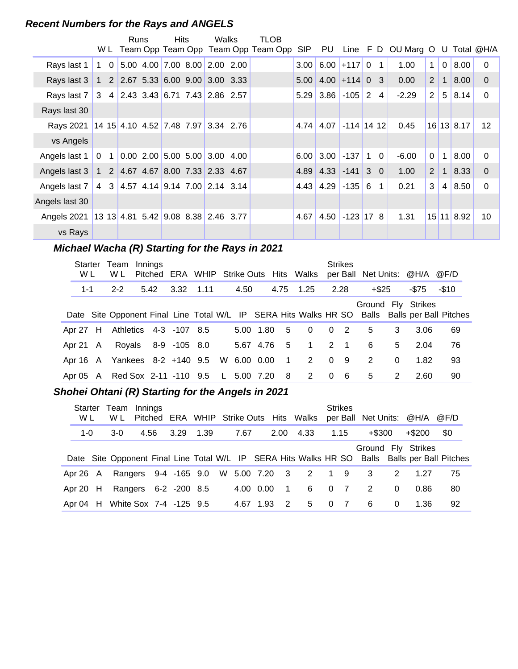#### **Recent Numbers for the Rays and ANGELS**

|                                                                 |                                                                               | Runs | <b>Hits</b> | Walks                           | TLOB                                    |            |                        |              |              |                |                                    |                |                |               |                   |
|-----------------------------------------------------------------|-------------------------------------------------------------------------------|------|-------------|---------------------------------|-----------------------------------------|------------|------------------------|--------------|--------------|----------------|------------------------------------|----------------|----------------|---------------|-------------------|
|                                                                 |                                                                               |      |             |                                 | W L Team Opp Team Opp Team Opp Team Opp | <b>SIP</b> |                        |              |              |                | PU Line F D OU Marg O U Total @H/A |                |                |               |                   |
| Rays last 1                                                     | $1\quad 0$                                                                    |      |             | $5.00$ 4.00 7.00 8.00 2.00 2.00 |                                         |            | $3.00$ 6.00 + 117 0 1  |              |              |                | 1.00                               | $\mathbf{1}$   | 0 <sup>1</sup> | 8.00          | $\Omega$          |
| Rays last 3                                                     |                                                                               |      |             |                                 |                                         |            | $5.00$ 4.00 + 114 0 3  |              |              |                | 0.00                               | 2 <sup>1</sup> | 1 <sup>1</sup> | 8.00          | $\Omega$          |
| Rays last 7                                                     | $3 \quad 4 \quad 2.43 \quad 3.43 \quad 6.71 \quad 7.43 \quad 2.86 \quad 2.57$ |      |             |                                 |                                         |            | $5.29$ 3.86 $-105$ 2 4 |              |              |                | $-2.29$                            | $\overline{2}$ |                | $5 \mid 8.14$ | $\mathbf 0$       |
| Rays last 30                                                    |                                                                               |      |             |                                 |                                         |            |                        |              |              |                |                                    |                |                |               |                   |
| Rays 2021                                                       | $14$ 15 4.10 4.52 7.48 7.97 3.34 2.76                                         |      |             |                                 |                                         |            | $4.74 \,   \, 4.07$    | $-114$ 14 12 |              |                | 0.45                               |                |                | $16$ 13 8.17  | $12 \overline{ }$ |
| vs Angels                                                       |                                                                               |      |             |                                 |                                         |            |                        |              |              |                |                                    |                |                |               |                   |
| Angels last 1                                                   | 0 <sub>1</sub>                                                                |      |             | $0.00$ 2.00 5.00 5.00 3.00 4.00 |                                         |            | $6.00 \,   \, 3.00$    | $-137$       | $\mathbf{1}$ | $\overline{0}$ | $-6.00$                            | $\Omega$       | 1 <sup>1</sup> | 8.00          | $\Omega$          |
| Angels last 3   1   2   4.67   4.67   8.00   7.33   2.33   4.67 |                                                                               |      |             |                                 |                                         |            | $4.89$ 4.33 - 141 3 0  |              |              |                | 1.00                               | 2 <sup>1</sup> | 1 <sup>1</sup> | 8.33          | $\Omega$          |
| Angels last 7   4 3   4.57 4.14   9.14 7.00   2.14 3.14         |                                                                               |      |             |                                 |                                         |            | $4.43 \mid 4.29 \mid$  | $-135$ 6 1   |              |                | 0.21                               | 3              |                | 4 8.50        | $\Omega$          |
| Angels last 30                                                  |                                                                               |      |             |                                 |                                         |            |                        |              |              |                |                                    |                |                |               |                   |
| Angels 2021 13 13 4.81 5.42 9.08 8.38 2.46 3.77                 |                                                                               |      |             |                                 |                                         | 4.67       | 4.50                   | $-123$ 17 8  |              |                | 1.31                               |                |                | 15 11 8.92    | 10                |
| vs Rays                                                         |                                                                               |      |             |                                 |                                         |            |                        |              |              |                |                                    |                |                |               |                   |

## **Michael Wacha (R) Starting for the Rays in 2021**

| Starter<br>W L | Team<br>W L                                | Innings |      |                     |  |           |             |                     |          | <b>Strikes</b> | Pitched ERA WHIP Strike Outs Hits Walks per Ball Net Units: @H/A @F/D |          |       |                                                                                               |
|----------------|--------------------------------------------|---------|------|---------------------|--|-----------|-------------|---------------------|----------|----------------|-----------------------------------------------------------------------|----------|-------|-----------------------------------------------------------------------------------------------|
| $1 - 1$        | $2 - 2$                                    |         | 5.42 | 3.32 1.11           |  | 4.50      |             | 4.75 1.25           |          | 2.28           | +\$25                                                                 |          | -\$75 | $-$10$                                                                                        |
|                |                                            |         |      |                     |  |           |             |                     |          |                | Ground Fly Strikes                                                    |          |       | Date Site Opponent Final Line Total W/L IP SERA Hits Walks HR SO Balls Balls per Ball Pitches |
| Apr 27 H       | Athletics 4-3 -107 8.5                     |         |      |                     |  | 5.00 1.80 | - 5         | $\Omega$            | $\Omega$ | $\overline{2}$ | 5                                                                     | 3        | 3.06  | 69                                                                                            |
| Apr 21 A       |                                            |         |      | Royals 8-9 -105 8.0 |  |           | 5.67 4.76 5 | $1 \quad 2 \quad 1$ |          |                | 6                                                                     | 5        | 2.04  | 76                                                                                            |
|                | Apr 16 A Yankees 8-2 +140 9.5 W 6.00 0.00  |         |      |                     |  |           | $\sim$ 1    | $2 \t 0 \t 9$       |          |                | 2                                                                     | $\Omega$ | 1.82  | 93                                                                                            |
|                | Apr 05 A Red Sox 2-11 -110 9.5 L 5.00 7.20 |         |      |                     |  |           | - 8         | 2                   | $\Omega$ | - 6            | 5                                                                     | 2        | 2.60  | 90                                                                                            |

#### Shohei Ohtani (R) Starting for the Angels in 2021

| Starter<br>W L | Team Innings<br>W L    |      |      |      |           |      |                | Pitched ERA WHIP Strike Outs Hits Walks |                | <b>Strikes</b> |                |          | per Ball Net Units: @H/A @F/D |                                                                                               |
|----------------|------------------------|------|------|------|-----------|------|----------------|-----------------------------------------|----------------|----------------|----------------|----------|-------------------------------|-----------------------------------------------------------------------------------------------|
| $1 - 0$        | $3-0$                  | 4.56 | 3.29 | 1.39 | 7.67      |      | 2.00           | 4.33                                    |                | 1.15           | $+$ \$300      |          | $+$ \$200                     | \$0                                                                                           |
|                |                        |      |      |      |           |      |                |                                         |                |                |                |          | Ground Fly Strikes            |                                                                                               |
|                |                        |      |      |      |           |      |                |                                         |                |                |                |          |                               | Date Site Opponent Final Line Total W/L IP SERA Hits Walks HR SO Balls Balls per Ball Pitches |
| Apr 26 A       | Rangers 9-4 -165 9.0   |      |      |      |           |      |                | W 5.00 7.20 3 2 1 9                     |                |                | - 3            | 2        | 1.27                          | 75                                                                                            |
| Apr 20 H       | Rangers 6-2 -200 8.5   |      |      |      | 4.00 0.00 |      | $\blacksquare$ | 6                                       | 0 <sub>7</sub> |                | $\overline{2}$ | $\Omega$ | 0.86                          | 80                                                                                            |
| Apr 04 H       | White Sox 7-4 -125 9.5 |      |      |      | 4.67      | 1.93 | $\mathcal{P}$  | 5                                       | $\Omega$       | 7              | 6              | $\Omega$ | 1.36                          | 92                                                                                            |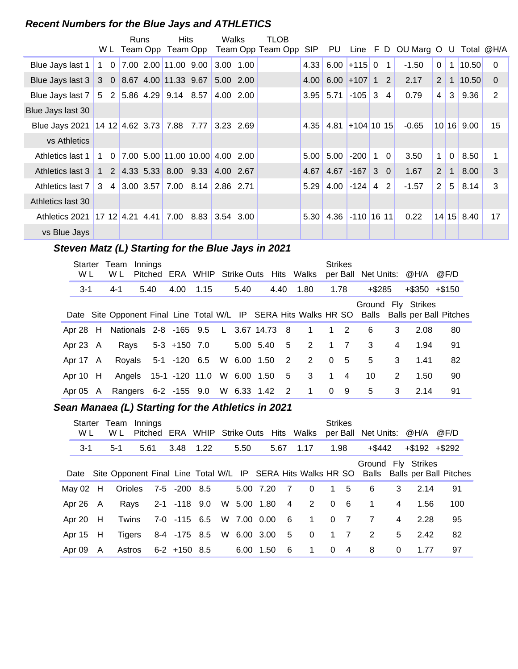#### **Recent Numbers for the Blue Jays and ATHLETICS**

|                                                |            | Runs | <b>Hits</b>                                                                     |      | Walks     |           | TLOB                                    |            |                              |                   |            |              |                      |                       |                |              |                  |
|------------------------------------------------|------------|------|---------------------------------------------------------------------------------|------|-----------|-----------|-----------------------------------------|------------|------------------------------|-------------------|------------|--------------|----------------------|-----------------------|----------------|--------------|------------------|
|                                                |            |      |                                                                                 |      |           |           | W L Team Opp Team Opp Team Opp Team Opp | <b>SIP</b> | PU                           |                   |            |              | Line F D OU Marg O U |                       |                |              | Total @H/A       |
| Blue Jays last 1                               | $1\quad 0$ |      | $7.00$ 2.00 11.00 9.00                                                          |      | 3.00 1.00 |           |                                         | 4.33       |                              | $6.00 + 1150$     |            | $\mathbf{1}$ | $-1.50$              | $\Omega$              | 1 <sup>1</sup> | 10.50        | $\Omega$         |
| Blue Jays last $3 \mid$                        |            |      | $3$ 0 8.67 4.00 11.33 9.67                                                      |      | 5.00 2.00 |           |                                         |            | $4.00 \ 6.00 \ +107 \ 1 \ 2$ |                   |            |              | 2.17                 | $\mathbf{2}^{\prime}$ |                | 1 10.50      | $\Omega$         |
| Blue Jays last 7                               |            |      | $5$ 2 5.86 4.29 9.14 8.57                                                       |      |           | 4.00 2.00 |                                         |            | $3.95$ 5.71                  | $-105$            | $3\quad 4$ |              | 0.79                 | 4                     | 3              | 9.36         | 2                |
| Blue Jays last 30                              |            |      |                                                                                 |      |           |           |                                         |            |                              |                   |            |              |                      |                       |                |              |                  |
| Blue Jays 2021   14 12   4.62 3.73   7.88 7.77 |            |      |                                                                                 |      | 3.23 2.69 |           |                                         | 4.35       | 4.81                         | $ +104 10 15 $    |            |              | $-0.65$              |                       |                | 10 16 9.00   | 15 <sub>15</sub> |
| vs Athletics                                   |            |      |                                                                                 |      |           |           |                                         |            |                              |                   |            |              |                      |                       |                |              |                  |
| Athletics last 1                               |            |      | $1 \quad 0 \quad 7.00 \quad 5.00 \quad 11.00 \quad 10.00 \quad 4.00 \quad 2.00$ |      |           |           |                                         | 5.00       | 5.00                         | $-200$            | $1\quad 0$ |              | 3.50                 | $\mathbf{1}$          | $\mathbf 0$    | 8.50         | 1                |
| Athletics last 3                               |            |      | $1 \quad 2 \quad 4.33 \quad 5.33 \quad 8.00 \quad 9.33 \quad 4.00 \quad 2.67$   |      |           |           |                                         | 4.67       | 4.67                         | $-167$            | $3\quad0$  |              | 1.67                 | $\overline{2}$        | $\mathbf{1}$   | 8.00         | 3                |
| Athletics last 7                               |            |      | 3 4 3.00 3.57 7.00 8.14 2.86 2.71                                               |      |           |           |                                         | 5.29       |                              | $4.00$ -124 4     |            | 2            | $-1.57$              | $\overline{2}$        | 5              | 8.14         | 3                |
| Athletics last 30                              |            |      |                                                                                 |      |           |           |                                         |            |                              |                   |            |              |                      |                       |                |              |                  |
| Athletics 2021                                 |            |      | $17 \t12 \t4.21 \t4.41 \t7.00$                                                  | 8.83 | 3.54 3.00 |           |                                         | 5.30       |                              | $4.36$ -110 16 11 |            |              | 0.22                 |                       |                | $14$ 15 8.40 | 17               |
| vs Blue Jays                                   |            |      |                                                                                 |      |           |           |                                         |            |                              |                   |            |              |                      |                       |                |              |                  |

## Steven Matz (L) Starting for the Blue Jays in 2021

| Starter<br>W L |  | Innings<br>Team<br>W L                |  |                                    |      |  |               |  |      | Pitched ERA WHIP Strike Outs Hits Walks |                | <b>Strikes</b> |           |   | per Ball Net Units: @H/A @F/D                                                                                       |    |
|----------------|--|---------------------------------------|--|------------------------------------|------|--|---------------|--|------|-----------------------------------------|----------------|----------------|-----------|---|---------------------------------------------------------------------------------------------------------------------|----|
| 3-1            |  | 5.40<br>$4 - 1$                       |  | 4.00                               | 1.15 |  | 5.40          |  | 4.40 | 1.80                                    |                | 1.78           | $+$ \$285 |   | $+$ \$350 $+$ \$150                                                                                                 |    |
|                |  |                                       |  |                                    |      |  |               |  |      |                                         |                |                |           |   | Ground Fly Strikes<br>Date Site Opponent Final Line Total W/L IP SERA Hits Walks HR SO Balls Balls per Ball Pitches |    |
| Apr $28$ H     |  | Nationals 2-8 -165 9.5 L 3.67 14.73 8 |  |                                    |      |  |               |  |      | $\overline{1}$                          |                | $1\quad 2$     | 6         | 3 | 2.08                                                                                                                | 80 |
| Apr 23 A       |  | Rays                                  |  | 5-3 +150 7.0                       |      |  | 5.00 5.40 5   |  |      | $\overline{2}$                          |                | $1 \quad 7$    | 3         | 4 | 1.94                                                                                                                | 91 |
| Apr 17 A       |  |                                       |  | Royals 5-1 -120 6.5                |      |  | W 6.00 1.50 2 |  |      | $\overline{2}$                          | $\Omega$       | - 5            | 5         | 3 | 1.41                                                                                                                | 82 |
| Apr $10$ H     |  |                                       |  | Angels 15-1 -120 11.0              |      |  |               |  |      | W 6.00 1.50 5 3                         |                | $1 \quad 4$    | 10        | 2 | 1.50                                                                                                                | 90 |
| Apr 05 A       |  |                                       |  | Rangers 6-2 -155 9.0 W 6.33 1.42 2 |      |  |               |  |      | $\overline{1}$                          | $\overline{0}$ | - 9            | 5         | 3 | 2.14                                                                                                                | 91 |

#### Sean Manaea (L) Starting for the Athletics in 2021

| Starter Team<br>W L |  | Innings<br>Pitched ERA WHIP Strike Outs Hits Walks<br>W L |      |  |                      |                          |      |  |             |                |                | <b>Strikes</b> |                | per Ball Net Units: @H/A |   |                   | @F/D                                                                                          |
|---------------------|--|-----------------------------------------------------------|------|--|----------------------|--------------------------|------|--|-------------|----------------|----------------|----------------|----------------|--------------------------|---|-------------------|-----------------------------------------------------------------------------------------------|
| $3 - 1$             |  | $5-1$                                                     | 5.61 |  | 3.48                 | 1.22                     | 5.50 |  |             | 5.67           | 1.17           | 1.98           |                | +\$442                   |   | $+\$192$ $+\$292$ |                                                                                               |
|                     |  |                                                           |      |  |                      |                          |      |  |             |                |                |                |                | Ground Fly Strikes       |   |                   | Date Site Opponent Final Line Total W/L IP SERA Hits Walks HR SO Balls Balls per Ball Pitches |
| May $02$ H          |  |                                                           |      |  | Orioles 7-5 -200 8.5 |                          |      |  | 5.00 7.20   | $\overline{7}$ | $\Omega$       |                | $1\quad 5$     | 6                        | 3 | 2.14              | 91                                                                                            |
| Apr 26 A            |  | Ravs                                                      |      |  | 2-1 -118 9.0         |                          |      |  | W 5.00 1.80 | $\overline{4}$ | $\overline{2}$ | $\Omega$       | - 6            | $\blacktriangleleft$     | 4 | 1.56              | 100                                                                                           |
| Apr 20 H            |  | Twins                                                     |      |  | 7-0 -115 6.5         |                          |      |  | W 7.00 0.00 | $-6$           | $\overline{1}$ | $\Omega$       | $\overline{7}$ | $\overline{7}$           | 4 | 2.28              | 95                                                                                            |
| Apr 15 H            |  | <b>Tigers</b>                                             |      |  |                      | 8-4 -175 8.5 W 6.00 3.00 |      |  |             | $5^{\circ}$    | $\overline{0}$ |                | $1 \quad 7$    | 2                        | 5 | 2.42              | 82                                                                                            |
| Apr 09 A            |  | Astros                                                    |      |  | 6-2 +150 8.5         |                          |      |  | 6.00 1.50   | - 6            | 1              | 0              | $\overline{4}$ | 8                        | 0 | 1.77              | 97                                                                                            |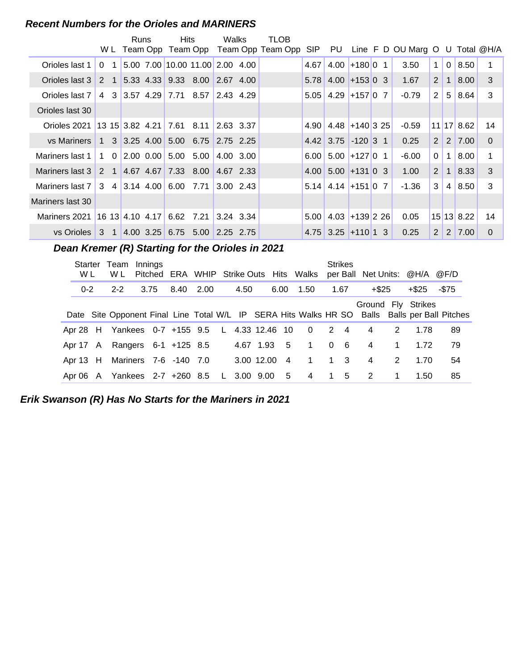#### **Recent Numbers for the Orioles and MARINERS**

| W L                                              |             |             | Runs |  | Hits                                                                          |      | Walks<br>Team Opp Team Opp Team Opp Team Opp |           | TLOB |      |                         |                 |                                    |                       |                |                                |                |
|--------------------------------------------------|-------------|-------------|------|--|-------------------------------------------------------------------------------|------|----------------------------------------------|-----------|------|------|-------------------------|-----------------|------------------------------------|-----------------------|----------------|--------------------------------|----------------|
|                                                  |             |             |      |  |                                                                               |      |                                              |           |      | SIP  |                         |                 | PU Line F D OU Marg O U Total @H/A |                       |                |                                |                |
| Orioles last 1                                   | $\Omega$    | $\mathbf 1$ |      |  | 5.00 7.00 10.00 11.00 2.00 4.00                                               |      |                                              |           |      | 4.67 |                         | $4.00 + 180001$ | 3.50                               | $\mathbf{1}$          |                | 0   8.50                       | 1              |
| Orioles last 3                                   | $2 \quad 1$ |             |      |  | $5.33$ 4.33 9.33 8.00 2.67 4.00                                               |      |                                              |           |      |      | $5.78$ 4.00 + 153 0 3   |                 | 1.67                               | 2                     | $\mathbf{1}$   | 8.00                           | 3              |
| Orioles last 7                                   | 4           |             |      |  | 3 3.57 4.29 7.71 8.57 2.43 4.29                                               |      |                                              |           |      |      | $5.05$   4.29 + 157 0 7 |                 | $-0.79$                            | 2                     |                | 5 8.64                         | 3              |
| Orioles last 30                                  |             |             |      |  |                                                                               |      |                                              |           |      |      |                         |                 |                                    |                       |                |                                |                |
| Orioles 2021 13 15 3.82 4.21 7.61 8.11 2.63 3.37 |             |             |      |  |                                                                               |      |                                              |           |      |      | $4.90$ 4.48 + 140 3 25  |                 | $-0.59$                            |                       |                | 11 17 8.62                     | 14             |
| vs Mariners                                      |             |             |      |  | $1 \quad 3 \quad 3.25 \quad 4.00 \quad 5.00 \quad 6.75 \quad 2.75 \quad 2.25$ |      |                                              |           |      |      | $4.42$ 3.75 $-120$ 3 1  |                 | 0.25                               | 2                     |                | $2 \mid 7.00$                  | $\mathbf{0}$   |
| Mariners last 1                                  |             |             |      |  | $1 \quad 0 \quad 2.00 \quad 0.00 \quad 5.00 \quad 5.00$                       |      |                                              | 4.00 3.00 |      |      | $6.00$ 5.00 + 127 0 1   |                 | $-6.00$                            | 0                     | $\mathbf 1$    | 8.00                           | 1              |
| Mariners last 3                                  |             | $2 \quad 1$ |      |  | 4.67 4.67 7.33 8.00 4.67 2.33                                                 |      |                                              |           |      |      | $4.00$ 5.00 + 131 0 3   |                 | 1.00                               | $\mathbf{2}^{\prime}$ | $\mathbf{1}$   | 8.33                           | 3              |
| Mariners last 7                                  |             |             |      |  | $3 \quad 4 \quad 3.14 \quad 4.00 \quad 6.00$                                  | 7.71 |                                              | 3.00 2.43 |      |      | $5.14$ 4.14 + 151 0 7   |                 | $-1.36$                            | 3                     | $\overline{4}$ | 8.50                           | 3              |
| Mariners last 30                                 |             |             |      |  |                                                                               |      |                                              |           |      |      |                         |                 |                                    |                       |                |                                |                |
| Mariners 2021 16 13 4.10 4.17 6.62 7.21          |             |             |      |  |                                                                               |      | $3.24$ 3.34                                  |           |      |      | $5.00$ 4.03 + 139 2 26  |                 | 0.05                               |                       |                | $15 \,   13 \,   8.22 \rangle$ | 14             |
| vs Orioles                                       | 3           | $\triangle$ |      |  | $ 4.00 \t3.25  6.75 \t5.00   2.25 \t2.75$                                     |      |                                              |           |      |      | $4.75$ 3.25 + 110 1 3   |                 | 0.25                               | $\overline{2}$        |                | $2 \mid 7.00$                  | $\overline{0}$ |

Dean Kremer (R) Starting for the Orioles in 2021

| Starter Team<br>W L |  | W L                                           | Innings |  |           |  |      |             |                |                |          | <b>Strikes</b> |                            |             | Pitched ERA WHIP Strike Outs Hits Walks per Ball Net Units: @H/A @F/D |                                                                                               |
|---------------------|--|-----------------------------------------------|---------|--|-----------|--|------|-------------|----------------|----------------|----------|----------------|----------------------------|-------------|-----------------------------------------------------------------------|-----------------------------------------------------------------------------------------------|
| $0 - 2$             |  | $2 - 2$                                       | 3.75    |  | 8.40 2.00 |  | 4.50 | 6.00        |                | 1.50           | 1.67     |                | +\$25                      |             | +\$25                                                                 | -\$75                                                                                         |
|                     |  |                                               |         |  |           |  |      |             |                |                |          |                |                            |             | Ground Fly Strikes                                                    | Date Site Opponent Final Line Total W/L IP SERA Hits Walks HR SO Balls Balls per Ball Pitches |
|                     |  | Apr 28 H Yankees 0-7 +155 9.5 L 4.33 12.46 10 |         |  |           |  |      |             |                | $\overline{0}$ |          | $2 \quad 4$    | 4                          | 2           | 1.78                                                                  | 89                                                                                            |
|                     |  | Apr 17 A Rangers 6-1 +125 8.5                 |         |  |           |  |      | 4.67 1.93 5 |                | $\mathbf{1}$   | $\Omega$ | - 6            | 4                          | $\mathbf 1$ | 1.72                                                                  | 79                                                                                            |
|                     |  | Apr 13 H Mariners 7-6 -140 7.0                |         |  |           |  |      | 3.00 12.00  | $\overline{4}$ | $\mathbf 1$    |          | $1 \quad 3$    | 4                          | 2           | 1.70                                                                  | 54                                                                                            |
|                     |  | Apr 06 A Yankees 2-7 +260 8.5 L 3.00 9.00     |         |  |           |  |      |             | 5              | $\overline{4}$ |          | 1 5            | $\overline{\phantom{0}}^2$ |             | 1.50                                                                  | 85                                                                                            |

**Erik Swanson (R) Has No Starts for the Mariners in 2021**